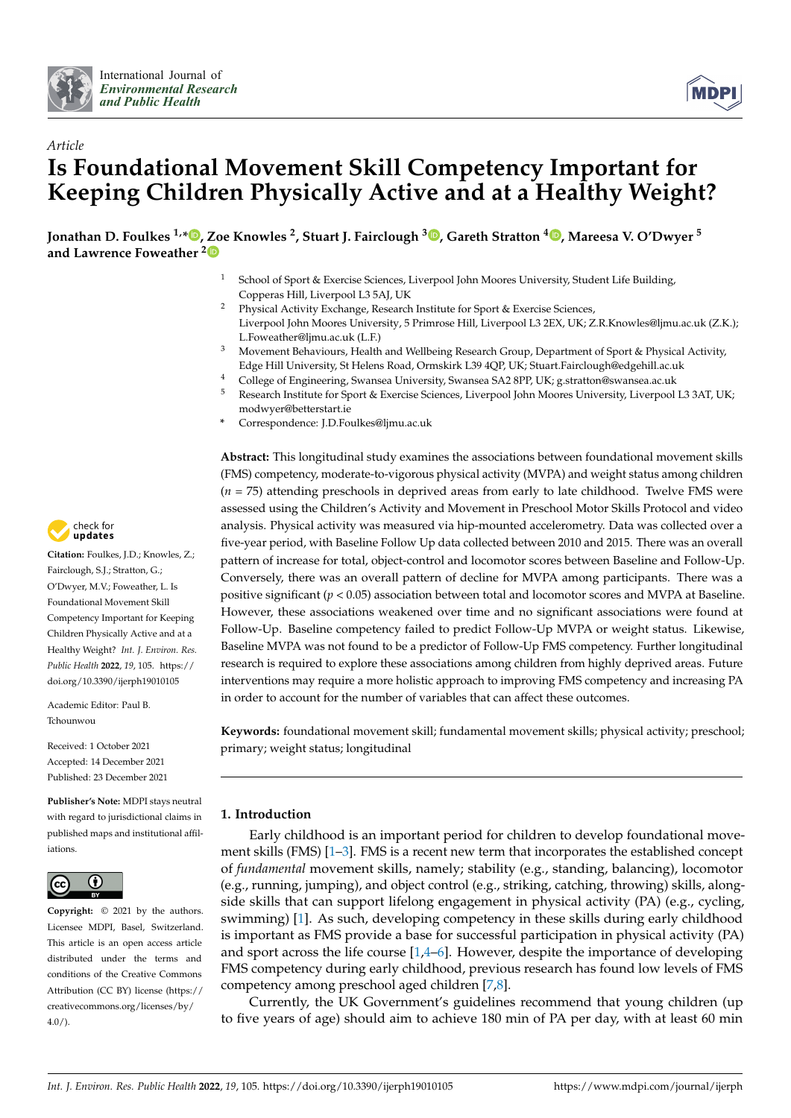



# *Article* **Is Foundational Movement Skill Competency Important for Keeping Children Physically Active and at a Healthy Weight?**

**Jonathan D. Foulkes 1,\* [,](https://orcid.org/0000-0002-7373-4190) [Zo](https://orcid.org/0000-0001-9851-5421)e Knowles <sup>2</sup> , Stuart J. Fairclough <sup>3</sup> [,](https://orcid.org/0000-0001-8358-1979) Gareth Stratton <sup>4</sup> [,](https://orcid.org/0000-0001-5618-0803) Mareesa V. O'Dwyer <sup>5</sup> and Lawrence Foweather <sup>2</sup>**

- School of Sport & Exercise Sciences, Liverpool John Moores University, Student Life Building, Copperas Hill, Liverpool L3 5AJ, UK
- <sup>2</sup> Physical Activity Exchange, Research Institute for Sport & Exercise Sciences, Liverpool John Moores University, 5 Primrose Hill, Liverpool L3 2EX, UK; Z.R.Knowles@ljmu.ac.uk (Z.K.); L.Foweather@ljmu.ac.uk (L.F.)
- <sup>3</sup> Movement Behaviours, Health and Wellbeing Research Group, Department of Sport & Physical Activity, Edge Hill University, St Helens Road, Ormskirk L39 4QP, UK; Stuart.Fairclough@edgehill.ac.uk
- 4 College of Engineering, Swansea University, Swansea SA2 8PP, UK; g.stratton@swansea.ac.uk<br>5 Desember Institute for Grant & Europe Crimera Linumaal Jahr Maana University, Linumaal
- <sup>5</sup> Research Institute for Sport & Exercise Sciences, Liverpool John Moores University, Liverpool L3 3AT, UK; modwyer@betterstart.ie
- **\*** Correspondence: J.D.Foulkes@ljmu.ac.uk

**Abstract:** This longitudinal study examines the associations between foundational movement skills (FMS) competency, moderate-to-vigorous physical activity (MVPA) and weight status among children (*n* = 75) attending preschools in deprived areas from early to late childhood. Twelve FMS were assessed using the Children's Activity and Movement in Preschool Motor Skills Protocol and video analysis. Physical activity was measured via hip-mounted accelerometry. Data was collected over a five-year period, with Baseline Follow Up data collected between 2010 and 2015. There was an overall pattern of increase for total, object-control and locomotor scores between Baseline and Follow-Up. Conversely, there was an overall pattern of decline for MVPA among participants. There was a positive significant (*p* < 0.05) association between total and locomotor scores and MVPA at Baseline. However, these associations weakened over time and no significant associations were found at Follow-Up. Baseline competency failed to predict Follow-Up MVPA or weight status. Likewise, Baseline MVPA was not found to be a predictor of Follow-Up FMS competency. Further longitudinal research is required to explore these associations among children from highly deprived areas. Future interventions may require a more holistic approach to improving FMS competency and increasing PA in order to account for the number of variables that can affect these outcomes.

**Keywords:** foundational movement skill; fundamental movement skills; physical activity; preschool; primary; weight status; longitudinal

## **1. Introduction**

Early childhood is an important period for children to develop foundational movement skills (FMS) [\[1–](#page-14-0)[3\]](#page-14-1). FMS is a recent new term that incorporates the established concept of *fundamental* movement skills, namely; stability (e.g., standing, balancing), locomotor (e.g., running, jumping), and object control (e.g., striking, catching, throwing) skills, alongside skills that can support lifelong engagement in physical activity (PA) (e.g., cycling, swimming) [\[1\]](#page-14-0). As such, developing competency in these skills during early childhood is important as FMS provide a base for successful participation in physical activity (PA) and sport across the life course  $[1,4–6]$  $[1,4–6]$  $[1,4–6]$ . However, despite the importance of developing FMS competency during early childhood, previous research has found low levels of FMS competency among preschool aged children [\[7](#page-14-4)[,8\]](#page-14-5).

Currently, the UK Government's guidelines recommend that young children (up to five years of age) should aim to achieve 180 min of PA per day, with at least 60 min



**Citation:** Foulkes, J.D.; Knowles, Z.; Fairclough, S.J.; Stratton, G.; O'Dwyer, M.V.; Foweather, L. Is Foundational Movement Skill Competency Important for Keeping Children Physically Active and at a Healthy Weight? *Int. J. Environ. Res. Public Health* **2022**, *19*, 105. [https://](https://doi.org/10.3390/ijerph19010105) [doi.org/10.3390/ijerph19010105](https://doi.org/10.3390/ijerph19010105)

Academic Editor: Paul B. Tchounwou

Received: 1 October 2021 Accepted: 14 December 2021 Published: 23 December 2021

**Publisher's Note:** MDPI stays neutral with regard to jurisdictional claims in published maps and institutional affiliations.



**Copyright:** © 2021 by the authors. Licensee MDPI, Basel, Switzerland. This article is an open access article distributed under the terms and conditions of the Creative Commons Attribution (CC BY) license [\(https://](https://creativecommons.org/licenses/by/4.0/) [creativecommons.org/licenses/by/](https://creativecommons.org/licenses/by/4.0/)  $4.0/$ ).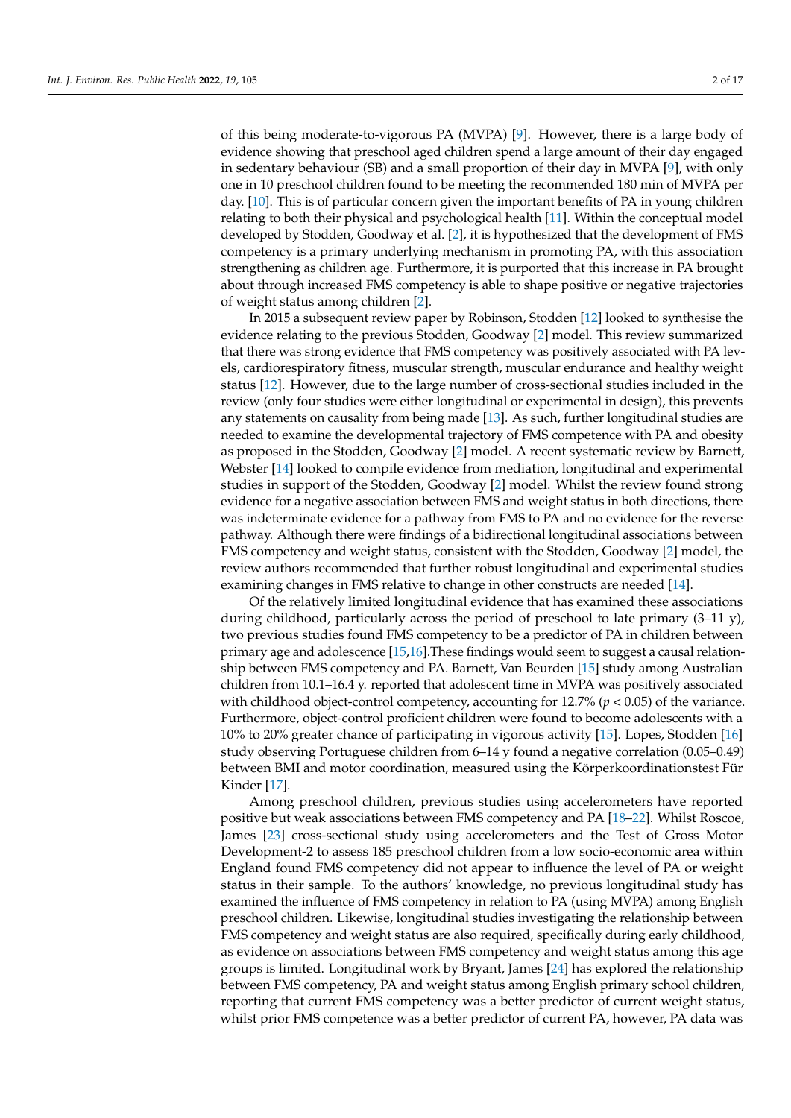of this being moderate-to-vigorous PA (MVPA) [\[9\]](#page-14-6). However, there is a large body of evidence showing that preschool aged children spend a large amount of their day engaged in sedentary behaviour (SB) and a small proportion of their day in MVPA [\[9\]](#page-14-6), with only one in 10 preschool children found to be meeting the recommended 180 min of MVPA per day. [\[10\]](#page-14-7). This is of particular concern given the important benefits of PA in young children relating to both their physical and psychological health [\[11\]](#page-14-8). Within the conceptual model developed by Stodden, Goodway et al. [\[2\]](#page-14-9), it is hypothesized that the development of FMS competency is a primary underlying mechanism in promoting PA, with this association strengthening as children age. Furthermore, it is purported that this increase in PA brought about through increased FMS competency is able to shape positive or negative trajectories of weight status among children [\[2\]](#page-14-9).

In 2015 a subsequent review paper by Robinson, Stodden [\[12\]](#page-14-10) looked to synthesise the evidence relating to the previous Stodden, Goodway [\[2\]](#page-14-9) model. This review summarized that there was strong evidence that FMS competency was positively associated with PA levels, cardiorespiratory fitness, muscular strength, muscular endurance and healthy weight status [\[12\]](#page-14-10). However, due to the large number of cross-sectional studies included in the review (only four studies were either longitudinal or experimental in design), this prevents any statements on causality from being made [\[13\]](#page-14-11). As such, further longitudinal studies are needed to examine the developmental trajectory of FMS competence with PA and obesity as proposed in the Stodden, Goodway [\[2\]](#page-14-9) model. A recent systematic review by Barnett, Webster [\[14\]](#page-14-12) looked to compile evidence from mediation, longitudinal and experimental studies in support of the Stodden, Goodway [\[2\]](#page-14-9) model. Whilst the review found strong evidence for a negative association between FMS and weight status in both directions, there was indeterminate evidence for a pathway from FMS to PA and no evidence for the reverse pathway. Although there were findings of a bidirectional longitudinal associations between FMS competency and weight status, consistent with the Stodden, Goodway [\[2\]](#page-14-9) model, the review authors recommended that further robust longitudinal and experimental studies examining changes in FMS relative to change in other constructs are needed [\[14\]](#page-14-12).

Of the relatively limited longitudinal evidence that has examined these associations during childhood, particularly across the period of preschool to late primary (3–11 y), two previous studies found FMS competency to be a predictor of PA in children between primary age and adolescence [\[15](#page-14-13)[,16\]](#page-14-14).These findings would seem to suggest a causal relationship between FMS competency and PA. Barnett, Van Beurden [\[15\]](#page-14-13) study among Australian children from 10.1–16.4 y. reported that adolescent time in MVPA was positively associated with childhood object-control competency, accounting for 12.7% (*p* < 0.05) of the variance. Furthermore, object-control proficient children were found to become adolescents with a 10% to 20% greater chance of participating in vigorous activity [\[15\]](#page-14-13). Lopes, Stodden [\[16\]](#page-14-14) study observing Portuguese children from 6–14 y found a negative correlation (0.05–0.49) between BMI and motor coordination, measured using the Körperkoordinationstest Für Kinder [\[17\]](#page-14-15).

Among preschool children, previous studies using accelerometers have reported positive but weak associations between FMS competency and PA [\[18](#page-14-16)[–22\]](#page-14-17). Whilst Roscoe, James [\[23\]](#page-14-18) cross-sectional study using accelerometers and the Test of Gross Motor Development-2 to assess 185 preschool children from a low socio-economic area within England found FMS competency did not appear to influence the level of PA or weight status in their sample. To the authors' knowledge, no previous longitudinal study has examined the influence of FMS competency in relation to PA (using MVPA) among English preschool children. Likewise, longitudinal studies investigating the relationship between FMS competency and weight status are also required, specifically during early childhood, as evidence on associations between FMS competency and weight status among this age groups is limited. Longitudinal work by Bryant, James [\[24\]](#page-14-19) has explored the relationship between FMS competency, PA and weight status among English primary school children, reporting that current FMS competency was a better predictor of current weight status, whilst prior FMS competence was a better predictor of current PA, however, PA data was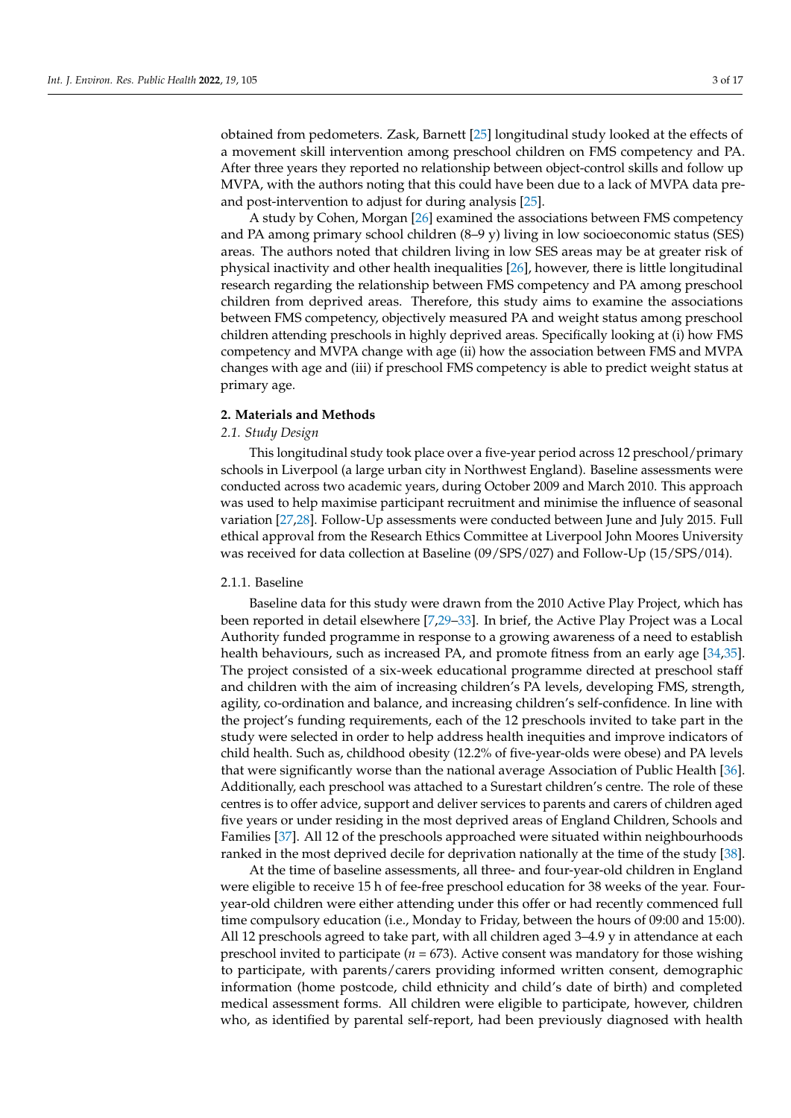obtained from pedometers. Zask, Barnett [\[25\]](#page-15-0) longitudinal study looked at the effects of a movement skill intervention among preschool children on FMS competency and PA. After three years they reported no relationship between object-control skills and follow up MVPA, with the authors noting that this could have been due to a lack of MVPA data preand post-intervention to adjust for during analysis [\[25\]](#page-15-0).

A study by Cohen, Morgan [\[26\]](#page-15-1) examined the associations between FMS competency and PA among primary school children (8–9 y) living in low socioeconomic status (SES) areas. The authors noted that children living in low SES areas may be at greater risk of physical inactivity and other health inequalities [\[26\]](#page-15-1), however, there is little longitudinal research regarding the relationship between FMS competency and PA among preschool children from deprived areas. Therefore, this study aims to examine the associations between FMS competency, objectively measured PA and weight status among preschool children attending preschools in highly deprived areas. Specifically looking at (i) how FMS competency and MVPA change with age (ii) how the association between FMS and MVPA changes with age and (iii) if preschool FMS competency is able to predict weight status at primary age.

#### **2. Materials and Methods**

## *2.1. Study Design*

This longitudinal study took place over a five-year period across 12 preschool/primary schools in Liverpool (a large urban city in Northwest England). Baseline assessments were conducted across two academic years, during October 2009 and March 2010. This approach was used to help maximise participant recruitment and minimise the influence of seasonal variation [\[27](#page-15-2)[,28\]](#page-15-3). Follow-Up assessments were conducted between June and July 2015. Full ethical approval from the Research Ethics Committee at Liverpool John Moores University was received for data collection at Baseline (09/SPS/027) and Follow-Up (15/SPS/014).

#### 2.1.1. Baseline

Baseline data for this study were drawn from the 2010 Active Play Project, which has been reported in detail elsewhere [\[7](#page-14-4)[,29–](#page-15-4)[33\]](#page-15-5). In brief, the Active Play Project was a Local Authority funded programme in response to a growing awareness of a need to establish health behaviours, such as increased PA, and promote fitness from an early age [\[34,](#page-15-6)[35\]](#page-15-7). The project consisted of a six-week educational programme directed at preschool staff and children with the aim of increasing children's PA levels, developing FMS, strength, agility, co-ordination and balance, and increasing children's self-confidence. In line with the project's funding requirements, each of the 12 preschools invited to take part in the study were selected in order to help address health inequities and improve indicators of child health. Such as, childhood obesity (12.2% of five-year-olds were obese) and PA levels that were significantly worse than the national average Association of Public Health [\[36\]](#page-15-8). Additionally, each preschool was attached to a Surestart children's centre. The role of these centres is to offer advice, support and deliver services to parents and carers of children aged five years or under residing in the most deprived areas of England Children, Schools and Families [\[37\]](#page-15-9). All 12 of the preschools approached were situated within neighbourhoods ranked in the most deprived decile for deprivation nationally at the time of the study [\[38\]](#page-15-10).

At the time of baseline assessments, all three- and four-year-old children in England were eligible to receive 15 h of fee-free preschool education for 38 weeks of the year. Fouryear-old children were either attending under this offer or had recently commenced full time compulsory education (i.e., Monday to Friday, between the hours of 09:00 and 15:00). All 12 preschools agreed to take part, with all children aged 3–4.9 y in attendance at each preschool invited to participate ( $n = 673$ ). Active consent was mandatory for those wishing to participate, with parents/carers providing informed written consent, demographic information (home postcode, child ethnicity and child's date of birth) and completed medical assessment forms. All children were eligible to participate, however, children who, as identified by parental self-report, had been previously diagnosed with health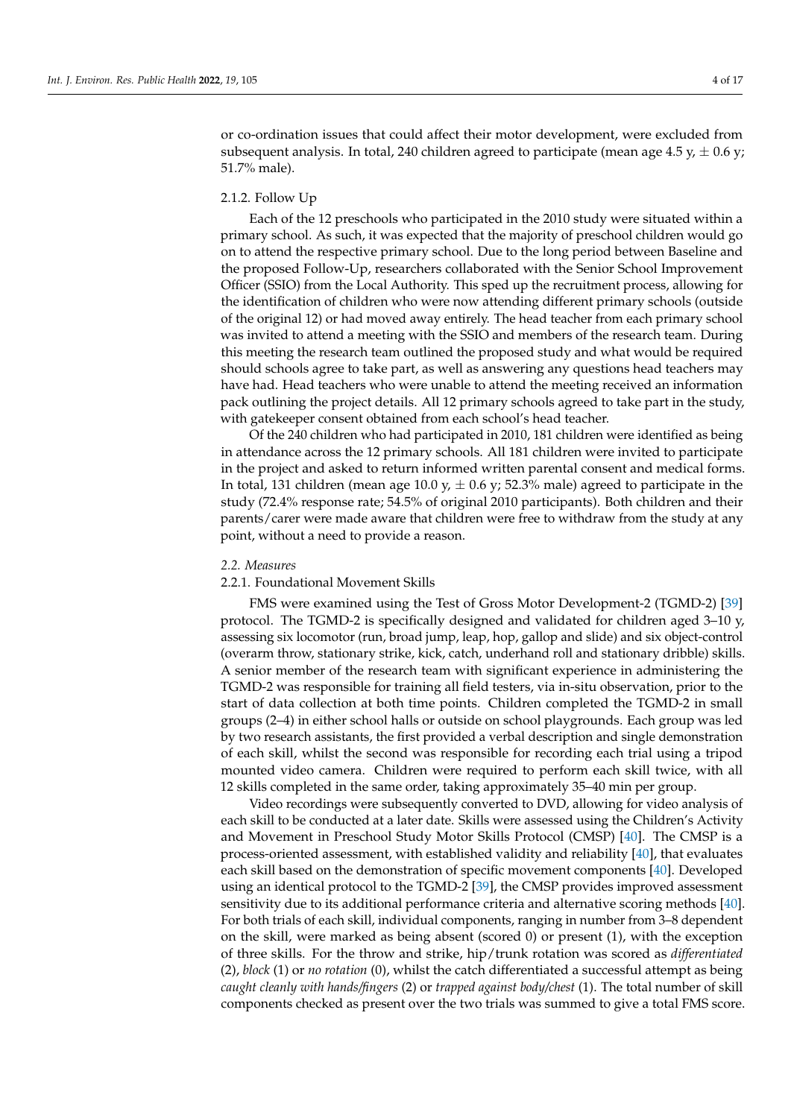or co-ordination issues that could affect their motor development, were excluded from subsequent analysis. In total, 240 children agreed to participate (mean age 4.5 y,  $\pm$  0.6 y; 51.7% male).

## 2.1.2. Follow Up

Each of the 12 preschools who participated in the 2010 study were situated within a primary school. As such, it was expected that the majority of preschool children would go on to attend the respective primary school. Due to the long period between Baseline and the proposed Follow-Up, researchers collaborated with the Senior School Improvement Officer (SSIO) from the Local Authority. This sped up the recruitment process, allowing for the identification of children who were now attending different primary schools (outside of the original 12) or had moved away entirely. The head teacher from each primary school was invited to attend a meeting with the SSIO and members of the research team. During this meeting the research team outlined the proposed study and what would be required should schools agree to take part, as well as answering any questions head teachers may have had. Head teachers who were unable to attend the meeting received an information pack outlining the project details. All 12 primary schools agreed to take part in the study, with gatekeeper consent obtained from each school's head teacher.

Of the 240 children who had participated in 2010, 181 children were identified as being in attendance across the 12 primary schools. All 181 children were invited to participate in the project and asked to return informed written parental consent and medical forms. In total, 131 children (mean age 10.0 y,  $\pm$  0.6 y; 52.3% male) agreed to participate in the study (72.4% response rate; 54.5% of original 2010 participants). Both children and their parents/carer were made aware that children were free to withdraw from the study at any point, without a need to provide a reason.

#### *2.2. Measures*

#### 2.2.1. Foundational Movement Skills

FMS were examined using the Test of Gross Motor Development-2 (TGMD-2) [\[39\]](#page-15-11) protocol. The TGMD-2 is specifically designed and validated for children aged 3–10 y, assessing six locomotor (run, broad jump, leap, hop, gallop and slide) and six object-control (overarm throw, stationary strike, kick, catch, underhand roll and stationary dribble) skills. A senior member of the research team with significant experience in administering the TGMD-2 was responsible for training all field testers, via in-situ observation, prior to the start of data collection at both time points. Children completed the TGMD-2 in small groups (2–4) in either school halls or outside on school playgrounds. Each group was led by two research assistants, the first provided a verbal description and single demonstration of each skill, whilst the second was responsible for recording each trial using a tripod mounted video camera. Children were required to perform each skill twice, with all 12 skills completed in the same order, taking approximately 35–40 min per group.

Video recordings were subsequently converted to DVD, allowing for video analysis of each skill to be conducted at a later date. Skills were assessed using the Children's Activity and Movement in Preschool Study Motor Skills Protocol (CMSP) [\[40\]](#page-15-12). The CMSP is a process-oriented assessment, with established validity and reliability [\[40\]](#page-15-12), that evaluates each skill based on the demonstration of specific movement components [\[40\]](#page-15-12). Developed using an identical protocol to the TGMD-2 [\[39\]](#page-15-11), the CMSP provides improved assessment sensitivity due to its additional performance criteria and alternative scoring methods [\[40\]](#page-15-12). For both trials of each skill, individual components, ranging in number from 3–8 dependent on the skill, were marked as being absent (scored 0) or present (1), with the exception of three skills. For the throw and strike, hip/trunk rotation was scored as *differentiated* (2), *block* (1) or *no rotation* (0), whilst the catch differentiated a successful attempt as being *caught cleanly with hands/fingers* (2) or *trapped against body/chest* (1). The total number of skill components checked as present over the two trials was summed to give a total FMS score.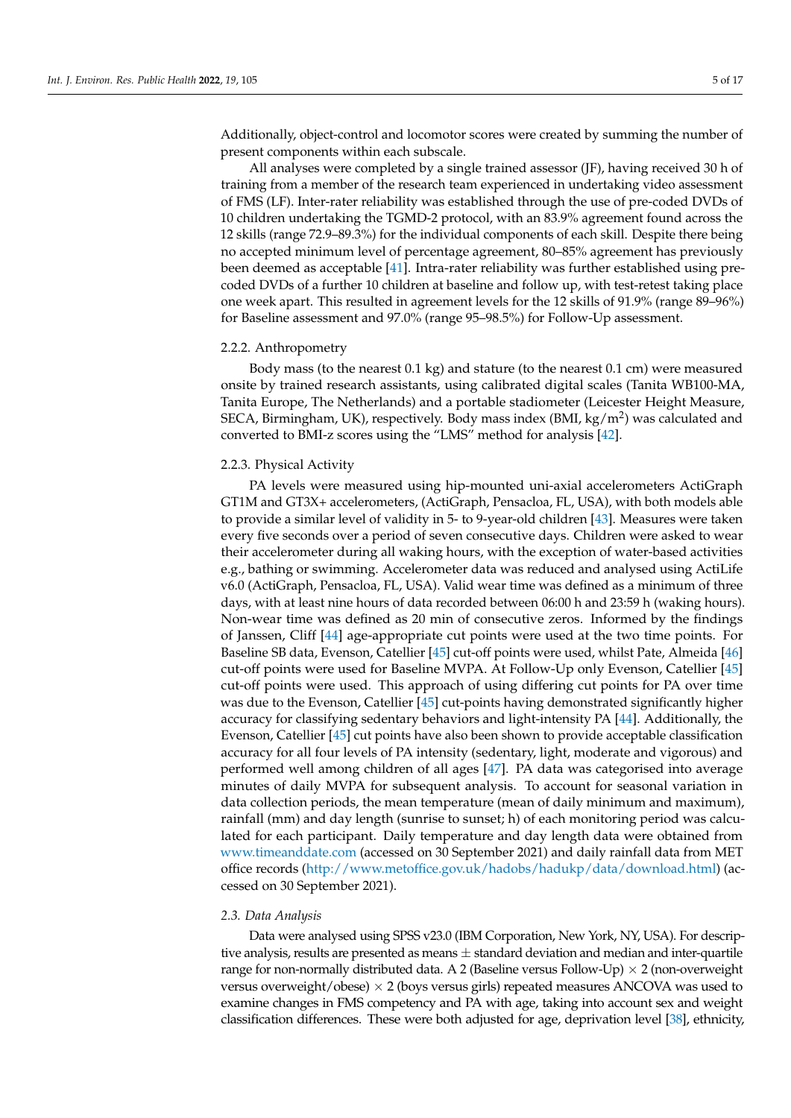Additionally, object-control and locomotor scores were created by summing the number of present components within each subscale.

All analyses were completed by a single trained assessor (JF), having received 30 h of training from a member of the research team experienced in undertaking video assessment of FMS (LF). Inter-rater reliability was established through the use of pre-coded DVDs of 10 children undertaking the TGMD-2 protocol, with an 83.9% agreement found across the 12 skills (range 72.9–89.3%) for the individual components of each skill. Despite there being no accepted minimum level of percentage agreement, 80–85% agreement has previously been deemed as acceptable [\[41\]](#page-15-13). Intra-rater reliability was further established using precoded DVDs of a further 10 children at baseline and follow up, with test-retest taking place one week apart. This resulted in agreement levels for the 12 skills of 91.9% (range 89–96%) for Baseline assessment and 97.0% (range 95–98.5%) for Follow-Up assessment.

#### 2.2.2. Anthropometry

Body mass (to the nearest 0.1 kg) and stature (to the nearest 0.1 cm) were measured onsite by trained research assistants, using calibrated digital scales (Tanita WB100-MA, Tanita Europe, The Netherlands) and a portable stadiometer (Leicester Height Measure, SECA, Birmingham, UK), respectively. Body mass index (BMI, kg/m<sup>2</sup>) was calculated and converted to BMI-z scores using the "LMS" method for analysis [\[42\]](#page-15-14).

#### 2.2.3. Physical Activity

PA levels were measured using hip-mounted uni-axial accelerometers ActiGraph GT1M and GT3X+ accelerometers, (ActiGraph, Pensacloa, FL, USA), with both models able to provide a similar level of validity in 5- to 9-year-old children [\[43\]](#page-15-15). Measures were taken every five seconds over a period of seven consecutive days. Children were asked to wear their accelerometer during all waking hours, with the exception of water-based activities e.g., bathing or swimming. Accelerometer data was reduced and analysed using ActiLife v6.0 (ActiGraph, Pensacloa, FL, USA). Valid wear time was defined as a minimum of three days, with at least nine hours of data recorded between 06:00 h and 23:59 h (waking hours). Non-wear time was defined as 20 min of consecutive zeros. Informed by the findings of Janssen, Cliff [\[44\]](#page-15-16) age-appropriate cut points were used at the two time points. For Baseline SB data, Evenson, Catellier [\[45\]](#page-15-17) cut-off points were used, whilst Pate, Almeida [\[46\]](#page-15-18) cut-off points were used for Baseline MVPA. At Follow-Up only Evenson, Catellier [\[45\]](#page-15-17) cut-off points were used. This approach of using differing cut points for PA over time was due to the Evenson, Catellier [\[45\]](#page-15-17) cut-points having demonstrated significantly higher accuracy for classifying sedentary behaviors and light-intensity PA [\[44\]](#page-15-16). Additionally, the Evenson, Catellier [\[45\]](#page-15-17) cut points have also been shown to provide acceptable classification accuracy for all four levels of PA intensity (sedentary, light, moderate and vigorous) and performed well among children of all ages [\[47\]](#page-15-19). PA data was categorised into average minutes of daily MVPA for subsequent analysis. To account for seasonal variation in data collection periods, the mean temperature (mean of daily minimum and maximum), rainfall (mm) and day length (sunrise to sunset; h) of each monitoring period was calculated for each participant. Daily temperature and day length data were obtained from <www.timeanddate.com> (accessed on 30 September 2021) and daily rainfall data from MET office records [\(http://www.metoffice.gov.uk/hadobs/hadukp/data/download.html\)](http://www.metoffice.gov.uk/hadobs/hadukp/data/download.html) (accessed on 30 September 2021).

#### *2.3. Data Analysis*

Data were analysed using SPSS v23.0 (IBM Corporation, New York, NY, USA). For descriptive analysis, results are presented as means  $\pm$  standard deviation and median and inter-quartile range for non-normally distributed data. A 2 (Baseline versus Follow-Up)  $\times$  2 (non-overweight versus overweight/obese)  $\times$  2 (boys versus girls) repeated measures ANCOVA was used to examine changes in FMS competency and PA with age, taking into account sex and weight classification differences. These were both adjusted for age, deprivation level [\[38\]](#page-15-10), ethnicity,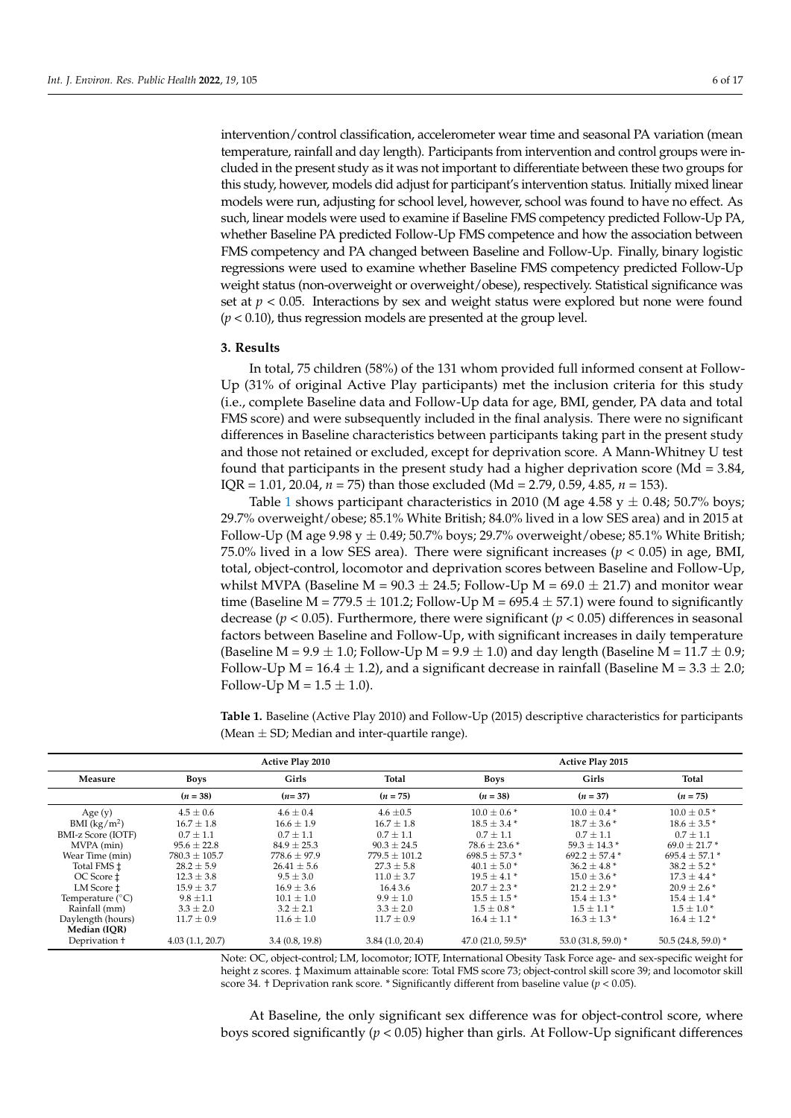intervention/control classification, accelerometer wear time and seasonal PA variation (mean temperature, rainfall and day length). Participants from intervention and control groups were included in the present study as it was not important to differentiate between these two groups for this study, however, models did adjust for participant's intervention status. Initially mixed linear models were run, adjusting for school level, however, school was found to have no effect. As such, linear models were used to examine if Baseline FMS competency predicted Follow-Up PA, whether Baseline PA predicted Follow-Up FMS competence and how the association between FMS competency and PA changed between Baseline and Follow-Up. Finally, binary logistic regressions were used to examine whether Baseline FMS competency predicted Follow-Up weight status (non-overweight or overweight/obese), respectively. Statistical significance was set at  $p < 0.05$ . Interactions by sex and weight status were explored but none were found (*p* < 0.10), thus regression models are presented at the group level.

## **3. Results**

In total, 75 children (58%) of the 131 whom provided full informed consent at Follow-Up (31% of original Active Play participants) met the inclusion criteria for this study (i.e., complete Baseline data and Follow-Up data for age, BMI, gender, PA data and total FMS score) and were subsequently included in the final analysis. There were no significant differences in Baseline characteristics between participants taking part in the present study and those not retained or excluded, except for deprivation score. A Mann-Whitney U test found that participants in the present study had a higher deprivation score (Md = 3.84, IQR = 1.01, 20.04, *n* = 75) than those excluded (Md = 2.79, 0.59, 4.85, *n* = 153).

Table [1](#page-5-0) shows participant characteristics in 2010 (M age 4.58  $y \pm 0.48$ ; 50.7% boys; 29.7% overweight/obese; 85.1% White British; 84.0% lived in a low SES area) and in 2015 at Follow-Up (M age 9.98 y  $\pm$  0.49; 50.7% boys; 29.7% overweight/obese; 85.1% White British; 75.0% lived in a low SES area). There were significant increases ( $p < 0.05$ ) in age, BMI, total, object-control, locomotor and deprivation scores between Baseline and Follow-Up, whilst MVPA (Baseline M =  $90.3 \pm 24.5$ ; Follow-Up M =  $69.0 \pm 21.7$ ) and monitor wear time (Baseline M = 779.5  $\pm$  101.2; Follow-Up M = 695.4  $\pm$  57.1) were found to significantly decrease ( $p < 0.05$ ). Furthermore, there were significant ( $p < 0.05$ ) differences in seasonal factors between Baseline and Follow-Up, with significant increases in daily temperature (Baseline M = 9.9  $\pm$  1.0; Follow-Up M = 9.9  $\pm$  1.0) and day length (Baseline M = 11.7  $\pm$  0.9; Follow-Up M =  $16.4 \pm 1.2$ ), and a significant decrease in rainfall (Baseline M =  $3.3 \pm 2.0$ ; Follow-Up  $M = 1.5 \pm 1.0$ ).

<span id="page-5-0"></span>**Table 1.** Baseline (Active Play 2010) and Follow-Up (2015) descriptive characteristics for participants (Mean  $\pm$  SD; Median and inter-quartile range).

|                           | <b>Active Play 2010</b> |                  |                   | <b>Active Play 2015</b> |                     |                             |  |
|---------------------------|-------------------------|------------------|-------------------|-------------------------|---------------------|-----------------------------|--|
| Measure                   | Boys                    | Girls            | Total             | <b>Boys</b>             | Girls               | Total                       |  |
|                           | $(n = 38)$              | $(n=37)$         | $(n = 75)$        | $(n = 38)$              | $(n = 37)$          | $(n = 75)$                  |  |
| Age $(y)$                 | $4.5 \pm 0.6$           | $4.6 \pm 0.4$    | $4.6 \pm 0.5$     | $10.0 \pm 0.6*$         | $10.0 \pm 0.4*$     | $10.0 \pm 0.5$ <sup>*</sup> |  |
| BMI (kg/m <sup>2</sup> )  | $16.7 \pm 1.8$          | $16.6 \pm 1.9$   | $16.7 \pm 1.8$    | $18.5 \pm 3.4$ *        | $18.7 \pm 3.6*$     | $18.6 \pm 3.5*$             |  |
| <b>BMI-z Score (IOTF)</b> | $0.7 \pm 1.1$           | $0.7 \pm 1.1$    | $0.7 \pm 1.1$     | $0.7 \pm 1.1$           | $0.7 \pm 1.1$       | $0.7 \pm 1.1$               |  |
| MVPA (min)                | $95.6 \pm 22.8$         | $84.9 \pm 25.3$  | $90.3 \pm 24.5$   | $78.6 \pm 23.6*$        | $59.3 \pm 14.3$ *   | $69.0 \pm 21.7*$            |  |
| Wear Time (min)           | $780.3 \pm 105.7$       | $778.6 \pm 97.9$ | $779.5 \pm 101.2$ | $698.5 \pm 57.3*$       | $692.2 \pm 57.4$ *  | $695.4 \pm 57.1$ *          |  |
| Total FMS ±               | $28.2 \pm 5.9$          | $26.41 \pm 5.6$  | $27.3 \pm 5.8$    | $40.1 \pm 5.0$ *        | $36.2 \pm 4.8^*$    | $38.2 \pm 5.2^*$            |  |
| OC Score $\pm$            | $12.3 \pm 3.8$          | $9.5 \pm 3.0$    | $11.0 \pm 3.7$    | $19.5 \pm 4.1*$         | $15.0 \pm 3.6*$     | $17.3 \pm 4.4$ *            |  |
| LM Score $\pm$            | $15.9 \pm 3.7$          | $16.9 \pm 3.6$   | 16.4 3.6          | $20.7 \pm 2.3$ *        | $21.2 \pm 2.9$ *    | $20.9 \pm 2.6$ *            |  |
| Temperature $(^{\circ}C)$ | $9.8 \pm 1.1$           | $10.1 \pm 1.0$   | $9.9 \pm 1.0$     | $15.5 \pm 1.5$ *        | $15.4 \pm 1.3$ *    | $15.4 \pm 1.4$ *            |  |
| Rainfall (mm)             | $3.3 \pm 2.0$           | $3.2 \pm 2.1$    | $3.3 \pm 2.0$     | $1.5 \pm 0.8*$          | $1.5 \pm 1.1$ *     | $1.5 \pm 1.0*$              |  |
| Daylength (hours)         | $11.7 \pm 0.9$          | $11.6 \pm 1.0$   | $11.7 \pm 0.9$    | $16.4 \pm 1.1*$         | $16.3 \pm 1.3$ *    | $16.4 \pm 1.2$ *            |  |
| Median (IOR)              |                         |                  |                   |                         |                     |                             |  |
| Deprivation +             | 4.03(1.1, 20.7)         | 3.4(0.8, 19.8)   | 3.84(1.0, 20.4)   | $47.0(21.0, 59.5)^*$    | 53.0 (31.8, 59.0) * | $50.5(24.8, 59.0)^*$        |  |

Note: OC, object-control; LM, locomotor; IOTF, International Obesity Task Force age- and sex-specific weight for height z scores. ‡ Maximum attainable score: Total FMS score 73; object-control skill score 39; and locomotor skill score 34. † Deprivation rank score. \* Significantly different from baseline value ( $p < 0.05$ ).

At Baseline, the only significant sex difference was for object-control score, where boys scored significantly (*p* < 0.05) higher than girls. At Follow-Up significant differences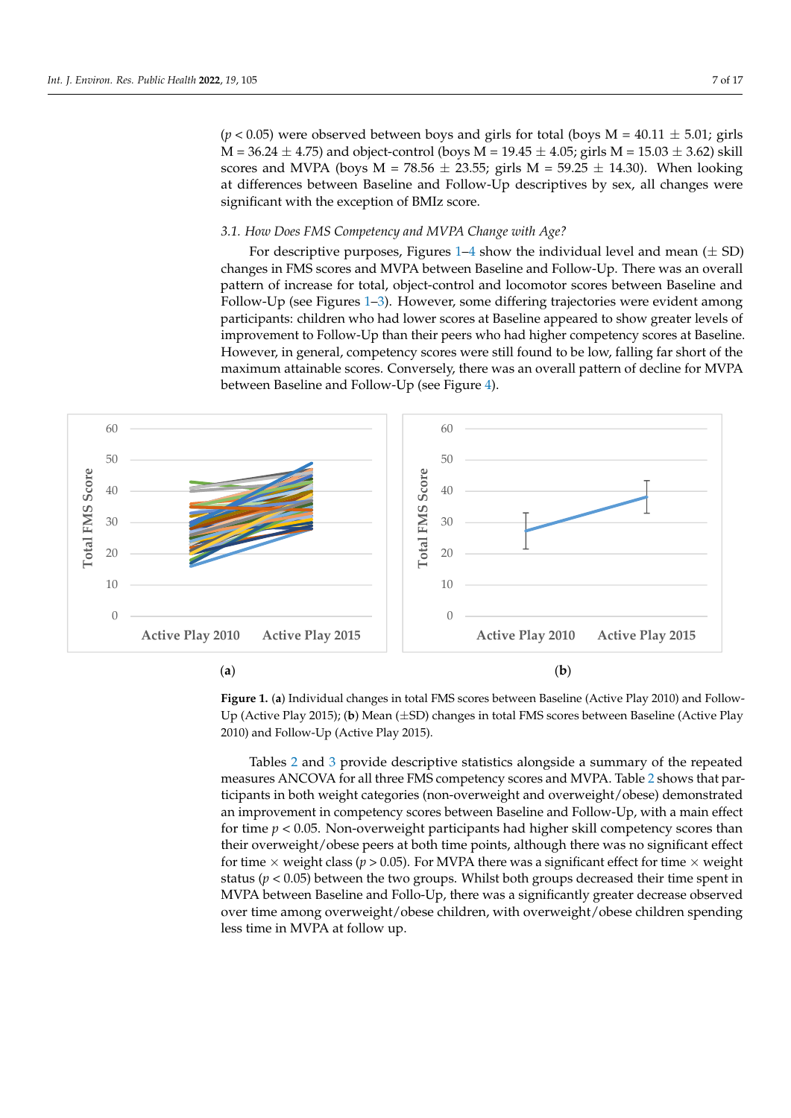$(p < 0.05)$  were observed between boys and girls for total (boys M = 40.11  $\pm$  5.01; girls M = 36.24  $\pm$  4.75) and object-control (boys M = 19.45  $\pm$  4.05; girls M = 15.03  $\pm$  3.62) skill scores and MVPA (boys  $M = 78.56 \pm 23.55$ ; girls  $M = 59.25 \pm 14.30$ ). When looking at differences between Baseline and Follow-Up descriptives by sex, all changes were significant with the exception of BMIz score.

boys scored significantly (*p* < 0.05) higher than girls. At Follow-Up significant differences

## 3.1. How Does FMS Competency and MVPA Change with Age?

<span id="page-6-0"></span>For descriptive purposes, Figures [1–](#page-6-0)4 show the individual level and mean  $(\pm SD)$ changes in FMS scores and MVPA between Baseline and Follow-Up. There was an overall pattern of increase for total, object-control and locomotor scores between Baseline and Follow-Up (see Figures [1](#page-6-0)[–3\)](#page-7-0). However, some differing trajectories were evident among participants: children who had lower scores at Baseline appeared to show greater levels of improvement to Follow-Up than their peers who had higher competency scores at Baseline.<br>--However, in general, competency scores were still found to be low, falling far short of the maximum attainable scores. Conversely, there was an overall pattern of decline for MVPA between Baseline and Follow-Up (see Figure [4\)](#page-8-0).



Figure 1. (a) Individual changes in total FMS scores between Baseline (Active Play 2010) and Follow-Up (Active Play 2015); (**b**) Mean (±SD) changes in total FMS scores between Baseline (Active Play Up (Active Play 2015); (**b**) Mean (±SD) changes in total FMS scores between Baseline (Active Play 2010) and Follow-Up (Active Play 2015). 2010) and Follow-Up (Active Play 2015).

Tables [2](#page-7-1) and [3](#page-8-1) provide descriptive statistics alongside a summary of the repeated measures ANCOVA for all three FMS competency scores and MVPA. Table [2](#page-7-1) shows that participants in both weight categories (non-overweight and overweight/obese) demonstrated an improvement in competency scores between Baseline and Follow-Up, with a main effect for time *p* < 0.05. Non-overweight participants had higher skill competency scores than their overweight/obese peers at both time points, although there was no significant effect for time  $\times$  weight class ( $p > 0.05$ ). For MVPA there was a significant effect for time  $\times$  weight status ( $p < 0.05$ ) between the two groups. Whilst both groups decreased their time spent in MVPA between Baseline and Follo-Up, there was a significantly greater decrease observed over time among overweight/obese children, with overweight/obese children spending less time in MVPA at follow up.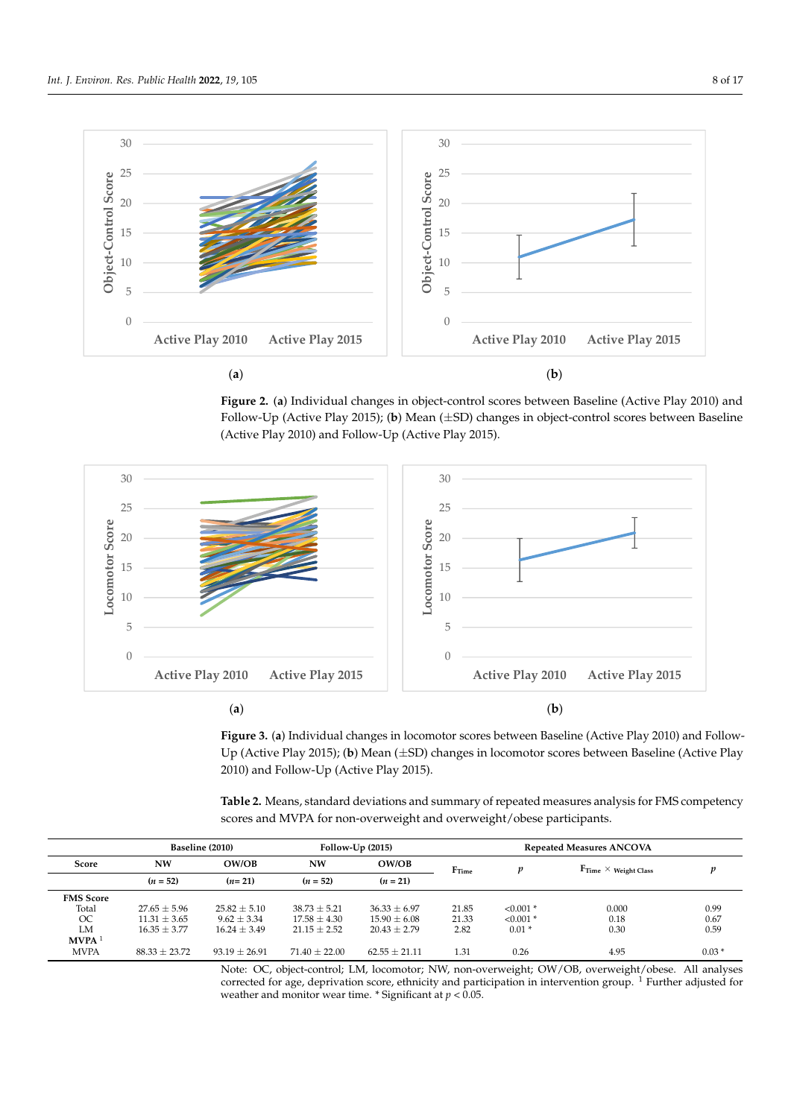

<span id="page-7-0"></span>Figure 2. (a) Individual changes in object-control scores between Baseline (Active Play 2010) and Follow-Up (Active Play 2015); (b) Mean (±SD) changes in object-control scores between Baseline (Active Play 2010) and Follow-Up (Active Play 2015). (Active Play 2010) and Follow-Up (Active Play 2015). (Active Play 2010) and Follow-Up (Active Play 2015).





<span id="page-7-1"></span>**Table 2.** Means, standard deviations and summary of repeated measures analysis for FMS competency scores and MVPA for non-overweight and overweight/obese participants.

|                   | Baseline (2010)   |                 |                  | $Follow-Up(2015)$ |                   | <b>Repeated Measures ANCOVA</b> |                                         |         |
|-------------------|-------------------|-----------------|------------------|-------------------|-------------------|---------------------------------|-----------------------------------------|---------|
| Score             | <b>NW</b>         | OW/OB           | <b>NW</b>        | OW/OB             | F <sub>Time</sub> |                                 | $\mathrm{F_{Time}} \times$ Weight Class | v       |
|                   | $(n = 52)$        | $(n=21)$        | $(n = 52)$       | $(n = 21)$        |                   |                                 |                                         |         |
| <b>FMS</b> Score  |                   |                 |                  |                   |                   |                                 |                                         |         |
| Total             | $27.65 + 5.96$    | $25.82 + 5.10$  | $38.73 + 5.21$   | $36.33 + 6.97$    | 21.85             | $< 0.001$ *                     | 0.000                                   | 0.99    |
| OC                | $11.31 \pm 3.65$  | $9.62 \pm 3.34$ | $17.58 \pm 4.30$ | $15.90 \pm 6.08$  | 21.33             | $< 0.001$ *                     | 0.18                                    | 0.67    |
| LM                | $16.35 + 3.77$    | $16.24 + 3.49$  | $21.15 + 2.52$   | $20.43 + 2.79$    | 2.82              | $0.01*$                         | 0.30                                    | 0.59    |
| MVPA <sup>1</sup> |                   |                 |                  |                   |                   |                                 |                                         |         |
| <b>MVPA</b>       | $88.33 \pm 23.72$ | $93.19 + 26.91$ | $71.40 + 22.00$  | $62.55 + 21.11$   | 1.31              | 0.26                            | 4.95                                    | $0.03*$ |

Note: OC, object-control; LM, locomotor; NW, non-overweight; OW/OB, overweight/obese. All analyses corrected for age, deprivation score, ethnicity and participation in intervention group.<sup>1</sup> Further adjusted for weather and monitor wear time.  $*$  Significant at  $p < 0.05$ .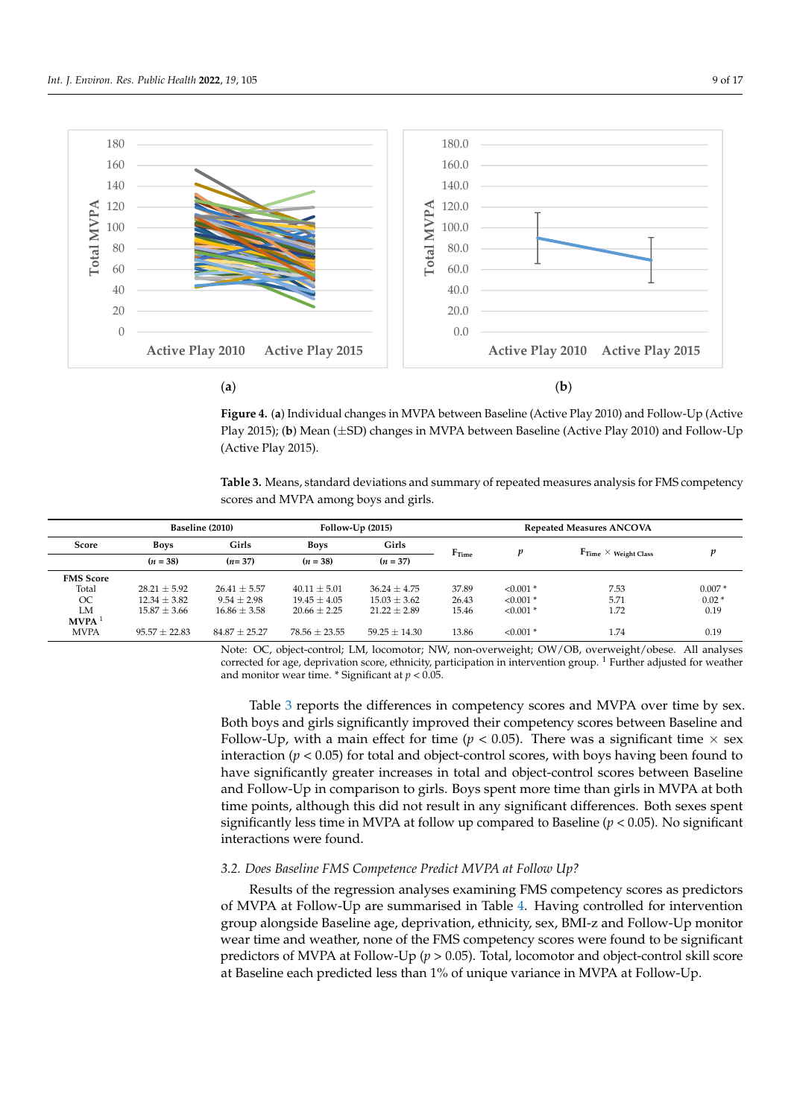<span id="page-8-0"></span>

Figure 4. (a) Individual changes in MVPA between Baseline (Active Play 2010) and Follow-Up (Active tive Play 2015); (**b**) Mean (±SD) changes in MVPA between Baseline (Active Play 2010) and Follow-Play 2015); (**b**) Mean (±SD) changes in MVPA between Baseline (Active Play 2010) and Follow-Up  $(Active Play 2015).$ 

<span id="page-8-1"></span>2. Moore, atop descriptions and summary of the repeated assessmes speleric for FMC computer as Table 3. Means, standard deviations and summary of repeated measures analysis for FMS competency<br>cores and MVPA create have and sitle  $p_{\text{max}}$  and  $p_{\text{max}}$  and  $p_{\text{max}}$  over  $p_{\text{max}}$  demon-overweight and overweight and overweight and overweight and overweight and overweight and overweight and overweight and overweight and  $p_{\text{max}}$ scores and MVPA among boys and girls.

|                   | Baseline (2010)   |                   | Follow- $Up(2015)$ |                   | <b>Repeated Measures ANCOVA</b> |             |                                                         |          |
|-------------------|-------------------|-------------------|--------------------|-------------------|---------------------------------|-------------|---------------------------------------------------------|----------|
| Score             | <b>Boys</b>       | Girls             | <b>Boys</b>        | Girls             |                                 | v           |                                                         | v        |
|                   | $(n = 38)$        | $(n=37)$          | $(n=38)$           | $(n = 37)$        | $F_{Time}$                      |             | $\mathbf{F}_{\text{Time}} \times \mathbf{Weight}$ Class |          |
| <b>FMS</b> Score  |                   |                   |                    |                   |                                 |             |                                                         |          |
| Total             | $28.21 + 5.92$    | $26.41 \pm 5.57$  | $40.11 \pm 5.01$   | $36.24 + 4.75$    | 37.89                           | $< 0.001$ * | 7.53                                                    | $0.007*$ |
| OC                | $12.34 \pm 3.82$  | $9.54 + 2.98$     | $19.45 + 4.05$     | $15.03 + 3.62$    | 26.43                           | $< 0.001$ * | 5.71                                                    | $0.02*$  |
| LM                | $15.87 \pm 3.66$  | $16.86 \pm 3.58$  | $20.66 \pm 2.25$   | $21.22 \pm 2.89$  | 15.46                           | $< 0.001$ * | 1.72                                                    | 0.19     |
| MVPA <sup>1</sup> |                   |                   |                    |                   |                                 |             |                                                         |          |
| <b>MVPA</b>       | $95.57 \pm 22.83$ | $84.87 \pm 25.27$ | $78.56 \pm 23.55$  | $59.25 \pm 14.30$ | 13.86                           | $< 0.001$ * | 1.74                                                    | 0.19     |

Note: OC, object-control; LM, locomotor; NW, non-overweight; OW/OB, overweight/obese. All analyses and monitor wear time. \* Significant at  $p < 0.05$ . corrected for age, deprivation score, ethnicity, participation in intervention group.<sup>1</sup> Further adjusted for weather

Both boys and girls significantly improved their competency scores between Baseline and Follow-Up, with a main effect for time  $(p < 0.05)$ . There was a significant time  $\times$  sex have significantly greater increases in total and object-control scores between Baseline and Follow-Up in comparison to girls. Boys spent more time than girls in MVPA at both time points, although this did not result in any significant differences. Both sexes spent  $\frac{1}{2}$  interactions were found.  $N_{\rm H}$ , and object-control;  $N_{\rm H}$ , overweight;  $N_{\rm H}$ Table [3](#page-8-1) reports the differences in competency scores and MVPA over time by sex. interaction ( $p < 0.05$ ) for total and object-control scores, with boys having been found to significantly less time in MVPA at follow up compared to Baseline  $(p < 0.05)$ . No significant

## 3.2. Does Baseline FMS Competence Predict MVPA at Follow Up?

Results of the regression analyses examining FMS competency scores as predictors of MVPA at Follow-Up are summarised in Table [4.](#page-9-0) Having controlled for intervention group alongside Baseline age, deprivation, ethnicity, sex, BMI-z and Follow-Up monitor predictors of MVPA at Follow-Up ( $p > 0.05$ ). Total, locomotor and object-control skill score at Baseline each predicted less than 1% of unique variance in MVPA at Follow-Up. wear time and weather, none of the FMS competency scores were found to be significant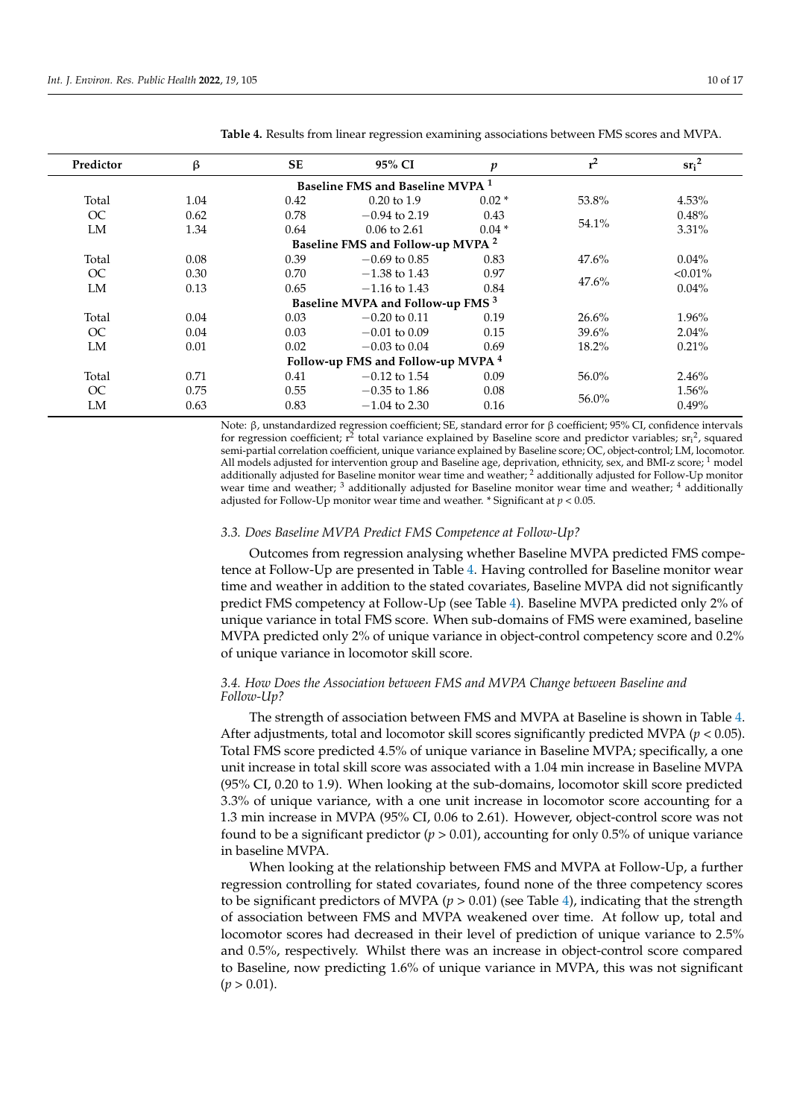| Predictor                                     | <b>SE</b><br>ß |      | 95% CI<br>p                                  |         | $r^2$ | sr <sub>i</sub> <sup>2</sup> |  |  |  |
|-----------------------------------------------|----------------|------|----------------------------------------------|---------|-------|------------------------------|--|--|--|
| Baseline FMS and Baseline MVPA <sup>1</sup>   |                |      |                                              |         |       |                              |  |  |  |
| Total                                         | 1.04           | 0.42 | $0.20 \text{ to } 1.9$                       | $0.02*$ | 53.8% | 4.53%                        |  |  |  |
| OC                                            | 0.62           | 0.78 | $-0.94$ to 2.19                              | 0.43    |       | 0.48%                        |  |  |  |
| LM                                            | 1.34           | 0.64 | $0.04*$<br>$0.06 \text{ to } 2.61$           |         | 54.1% | 3.31%                        |  |  |  |
|                                               |                |      | Baseline FMS and Follow-up MVPA <sup>2</sup> |         |       |                              |  |  |  |
| Total                                         | 0.08           | 0.39 | $-0.69$ to 0.85                              | 0.83    | 47.6% | $0.04\%$                     |  |  |  |
| OC                                            | 0.30           | 0.70 | $-1.38$ to 1.43                              | 0.97    |       | $< 0.01\%$                   |  |  |  |
| LM                                            | 0.13           | 0.65 | $-1.16$ to 1.43                              | 0.84    | 47.6% | $0.04\%$                     |  |  |  |
| Baseline MVPA and Follow-up FMS <sup>3</sup>  |                |      |                                              |         |       |                              |  |  |  |
| Total                                         | 0.04           | 0.03 | $-0.20$ to 0.11                              | 0.19    | 26.6% | 1.96%                        |  |  |  |
| OC                                            | 0.04           | 0.03 | $-0.01$ to 0.09                              | 0.15    | 39.6% | $2.04\%$                     |  |  |  |
| LM                                            | 0.01           | 0.02 | $-0.03$ to 0.04                              | 0.69    | 18.2% | 0.21%                        |  |  |  |
| Follow-up FMS and Follow-up MVPA <sup>4</sup> |                |      |                                              |         |       |                              |  |  |  |
| Total                                         | 0.71           | 0.41 | $-0.12$ to 1.54                              | 0.09    | 56.0% | 2.46%                        |  |  |  |
| OC                                            | 0.75           | 0.55 | $-0.35$ to 1.86                              | 0.08    | 56.0% | 1.56%                        |  |  |  |
| LM                                            | 0.63           | 0.83 | $-1.04$ to 2.30                              | 0.16    |       | 0.49%                        |  |  |  |

<span id="page-9-0"></span>**Table 4.** Results from linear regression examining associations between FMS scores and MVPA.

Note: β, unstandardized regression coefficient; SE, standard error for β coefficient; 95% CI, confidence intervals for regression coefficient;  $r^2$  total variance explained by Baseline score and predictor variables;  $sr_i^2$ , squared semi-partial correlation coefficient, unique variance explained by Baseline score; OC, object-control; LM, locomotor. All models adjusted for intervention group and Baseline age, deprivation, ethnicity, sex, and BMI-z score;  $1 \text{ model}$ additionally adjusted for Baseline monitor wear time and weather; <sup>2</sup> additionally adjusted for Follow-Up monitor wear time and weather; <sup>3</sup> additionally adjusted for Baseline monitor wear time and weather; <sup>4</sup> additionally adjusted for Follow-Up monitor wear time and weather. \* Significant at *p <* 0.05.

### *3.3. Does Baseline MVPA Predict FMS Competence at Follow-Up?*

Outcomes from regression analysing whether Baseline MVPA predicted FMS competence at Follow-Up are presented in Table [4.](#page-9-0) Having controlled for Baseline monitor wear time and weather in addition to the stated covariates, Baseline MVPA did not significantly predict FMS competency at Follow-Up (see Table [4\)](#page-9-0). Baseline MVPA predicted only 2% of unique variance in total FMS score. When sub-domains of FMS were examined, baseline MVPA predicted only 2% of unique variance in object-control competency score and 0.2% of unique variance in locomotor skill score.

## *3.4. How Does the Association between FMS and MVPA Change between Baseline and Follow-Up?*

The strength of association between FMS and MVPA at Baseline is shown in Table [4.](#page-9-0) After adjustments, total and locomotor skill scores significantly predicted MVPA (*p* < 0.05). Total FMS score predicted 4.5% of unique variance in Baseline MVPA; specifically, a one unit increase in total skill score was associated with a 1.04 min increase in Baseline MVPA (95% CI, 0.20 to 1.9). When looking at the sub-domains, locomotor skill score predicted 3.3% of unique variance, with a one unit increase in locomotor score accounting for a 1.3 min increase in MVPA (95% CI, 0.06 to 2.61). However, object-control score was not found to be a significant predictor ( $p > 0.01$ ), accounting for only 0.5% of unique variance in baseline MVPA.

When looking at the relationship between FMS and MVPA at Follow-Up, a further regression controlling for stated covariates, found none of the three competency scores to be significant predictors of MVPA (*p >* 0.01) (see Table [4\)](#page-9-0), indicating that the strength of association between FMS and MVPA weakened over time. At follow up, total and locomotor scores had decreased in their level of prediction of unique variance to 2.5% and 0.5%, respectively. Whilst there was an increase in object-control score compared to Baseline, now predicting 1.6% of unique variance in MVPA, this was not significant  $(p > 0.01)$ .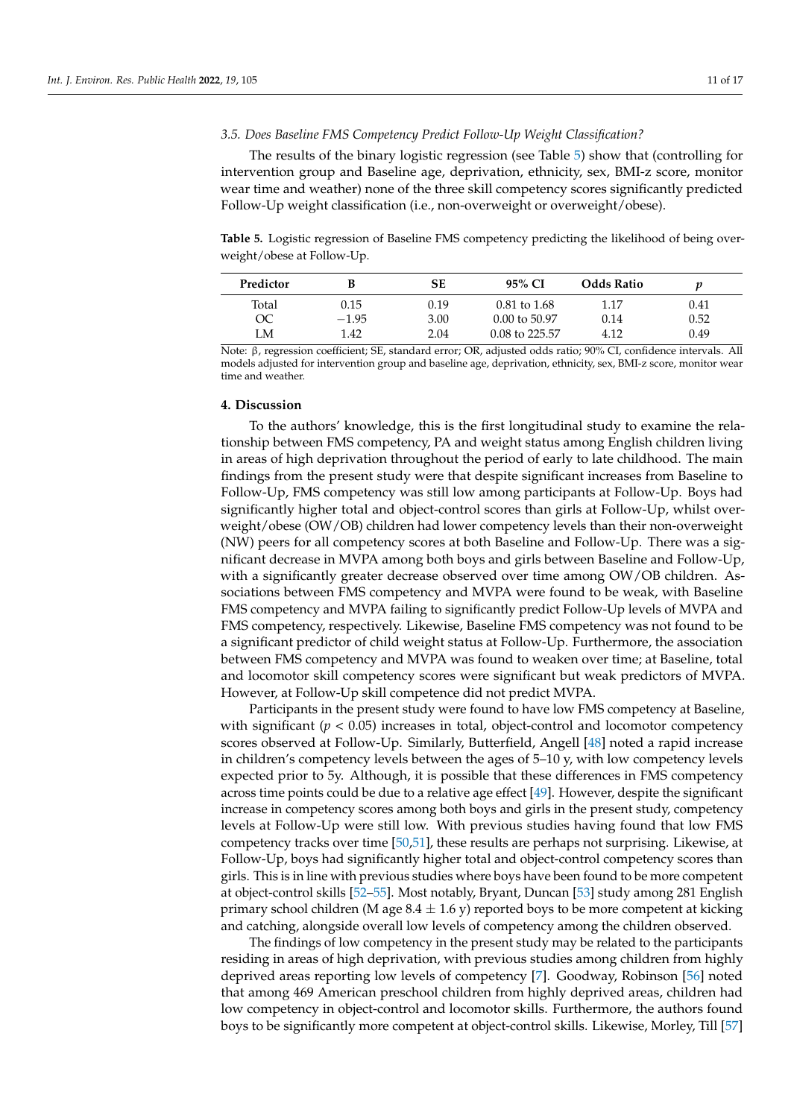#### *3.5. Does Baseline FMS Competency Predict Follow-Up Weight Classification?*

The results of the binary logistic regression (see Table [5\)](#page-10-0) show that (controlling for intervention group and Baseline age, deprivation, ethnicity, sex, BMI-z score, monitor wear time and weather) none of the three skill competency scores significantly predicted Follow-Up weight classification (i.e., non-overweight or overweight/obese).

<span id="page-10-0"></span>**Table 5.** Logistic regression of Baseline FMS competency predicting the likelihood of being overweight/obese at Follow-Up.

| Predictor | В       | SЕ   | 95% CI                   | Odds Ratio | v    |
|-----------|---------|------|--------------------------|------------|------|
| Total     | 0.15    | 0.19 | $0.81 \text{ to } 1.68$  | 1.17       | 0.41 |
| OC        | $-1.95$ | 3.00 | $0.00 \text{ to } 50.97$ | 0.14       | 0.52 |
| LM        | 1.42    | 2.04 | $0.08$ to 225.57         | 4.12       | 0.49 |

Note: β, regression coefficient; SE, standard error; OR, adjusted odds ratio; 90% CI, confidence intervals. All models adjusted for intervention group and baseline age, deprivation, ethnicity, sex, BMI-z score, monitor wear time and weather.

#### **4. Discussion**

To the authors' knowledge, this is the first longitudinal study to examine the relationship between FMS competency, PA and weight status among English children living in areas of high deprivation throughout the period of early to late childhood. The main findings from the present study were that despite significant increases from Baseline to Follow-Up, FMS competency was still low among participants at Follow-Up. Boys had significantly higher total and object-control scores than girls at Follow-Up, whilst overweight/obese (OW/OB) children had lower competency levels than their non-overweight (NW) peers for all competency scores at both Baseline and Follow-Up. There was a significant decrease in MVPA among both boys and girls between Baseline and Follow-Up, with a significantly greater decrease observed over time among OW/OB children. Associations between FMS competency and MVPA were found to be weak, with Baseline FMS competency and MVPA failing to significantly predict Follow-Up levels of MVPA and FMS competency, respectively. Likewise, Baseline FMS competency was not found to be a significant predictor of child weight status at Follow-Up. Furthermore, the association between FMS competency and MVPA was found to weaken over time; at Baseline, total and locomotor skill competency scores were significant but weak predictors of MVPA. However, at Follow-Up skill competence did not predict MVPA.

Participants in the present study were found to have low FMS competency at Baseline, with significant  $(p < 0.05)$  increases in total, object-control and locomotor competency scores observed at Follow-Up. Similarly, Butterfield, Angell [\[48\]](#page-15-20) noted a rapid increase in children's competency levels between the ages of 5–10 y, with low competency levels expected prior to 5y. Although, it is possible that these differences in FMS competency across time points could be due to a relative age effect [\[49\]](#page-15-21). However, despite the significant increase in competency scores among both boys and girls in the present study, competency levels at Follow-Up were still low. With previous studies having found that low FMS competency tracks over time [\[50,](#page-15-22)[51\]](#page-15-23), these results are perhaps not surprising. Likewise, at Follow-Up, boys had significantly higher total and object-control competency scores than girls. This is in line with previous studies where boys have been found to be more competent at object-control skills [\[52](#page-16-0)[–55\]](#page-16-1). Most notably, Bryant, Duncan [\[53\]](#page-16-2) study among 281 English primary school children (M age  $8.4 \pm 1.6$  y) reported boys to be more competent at kicking and catching, alongside overall low levels of competency among the children observed.

The findings of low competency in the present study may be related to the participants residing in areas of high deprivation, with previous studies among children from highly deprived areas reporting low levels of competency [\[7\]](#page-14-4). Goodway, Robinson [\[56\]](#page-16-3) noted that among 469 American preschool children from highly deprived areas, children had low competency in object-control and locomotor skills. Furthermore, the authors found boys to be significantly more competent at object-control skills. Likewise, Morley, Till [\[57\]](#page-16-4)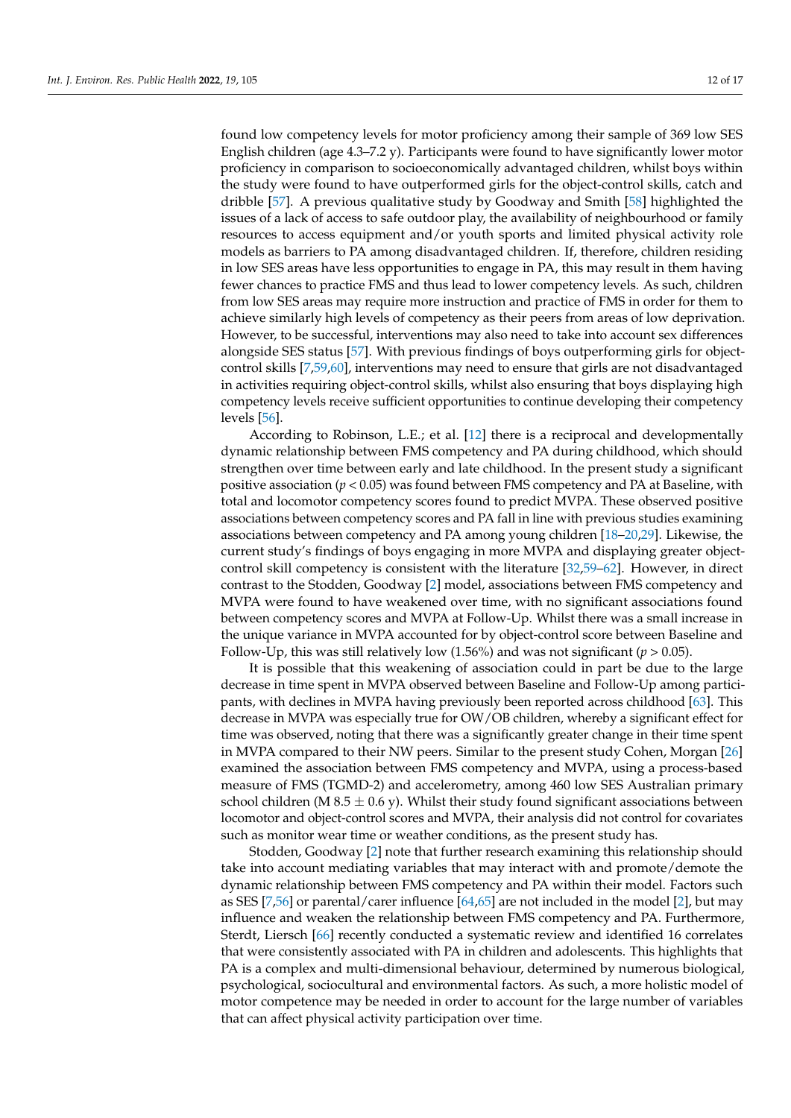found low competency levels for motor proficiency among their sample of 369 low SES English children (age 4.3–7.2 y). Participants were found to have significantly lower motor proficiency in comparison to socioeconomically advantaged children, whilst boys within the study were found to have outperformed girls for the object-control skills, catch and dribble [\[57\]](#page-16-4). A previous qualitative study by Goodway and Smith [\[58\]](#page-16-5) highlighted the issues of a lack of access to safe outdoor play, the availability of neighbourhood or family resources to access equipment and/or youth sports and limited physical activity role models as barriers to PA among disadvantaged children. If, therefore, children residing in low SES areas have less opportunities to engage in PA, this may result in them having fewer chances to practice FMS and thus lead to lower competency levels. As such, children from low SES areas may require more instruction and practice of FMS in order for them to achieve similarly high levels of competency as their peers from areas of low deprivation. However, to be successful, interventions may also need to take into account sex differences alongside SES status [\[57\]](#page-16-4). With previous findings of boys outperforming girls for objectcontrol skills [\[7](#page-14-4)[,59](#page-16-6)[,60\]](#page-16-7), interventions may need to ensure that girls are not disadvantaged in activities requiring object-control skills, whilst also ensuring that boys displaying high competency levels receive sufficient opportunities to continue developing their competency levels [\[56\]](#page-16-3).

According to Robinson, L.E.; et al. [\[12\]](#page-14-10) there is a reciprocal and developmentally dynamic relationship between FMS competency and PA during childhood, which should strengthen over time between early and late childhood. In the present study a significant positive association (*p* < 0.05) was found between FMS competency and PA at Baseline, with total and locomotor competency scores found to predict MVPA. These observed positive associations between competency scores and PA fall in line with previous studies examining associations between competency and PA among young children [\[18](#page-14-16)[–20,](#page-14-20)[29\]](#page-15-4). Likewise, the current study's findings of boys engaging in more MVPA and displaying greater objectcontrol skill competency is consistent with the literature [\[32](#page-15-24)[,59](#page-16-6)[–62\]](#page-16-8). However, in direct contrast to the Stodden, Goodway [\[2\]](#page-14-9) model, associations between FMS competency and MVPA were found to have weakened over time, with no significant associations found between competency scores and MVPA at Follow-Up. Whilst there was a small increase in the unique variance in MVPA accounted for by object-control score between Baseline and Follow-Up, this was still relatively low (1.56%) and was not significant (*p* > 0.05).

It is possible that this weakening of association could in part be due to the large decrease in time spent in MVPA observed between Baseline and Follow-Up among participants, with declines in MVPA having previously been reported across childhood [\[63\]](#page-16-9). This decrease in MVPA was especially true for OW/OB children, whereby a significant effect for time was observed, noting that there was a significantly greater change in their time spent in MVPA compared to their NW peers. Similar to the present study Cohen, Morgan [\[26\]](#page-15-1) examined the association between FMS competency and MVPA, using a process-based measure of FMS (TGMD-2) and accelerometry, among 460 low SES Australian primary school children (M 8.5  $\pm$  0.6 y). Whilst their study found significant associations between locomotor and object-control scores and MVPA, their analysis did not control for covariates such as monitor wear time or weather conditions, as the present study has.

Stodden, Goodway [\[2\]](#page-14-9) note that further research examining this relationship should take into account mediating variables that may interact with and promote/demote the dynamic relationship between FMS competency and PA within their model. Factors such as SES [\[7,](#page-14-4)[56\]](#page-16-3) or parental/carer influence [\[64](#page-16-10)[,65\]](#page-16-11) are not included in the model [\[2\]](#page-14-9), but may influence and weaken the relationship between FMS competency and PA. Furthermore, Sterdt, Liersch [\[66\]](#page-16-12) recently conducted a systematic review and identified 16 correlates that were consistently associated with PA in children and adolescents. This highlights that PA is a complex and multi-dimensional behaviour, determined by numerous biological, psychological, sociocultural and environmental factors. As such, a more holistic model of motor competence may be needed in order to account for the large number of variables that can affect physical activity participation over time.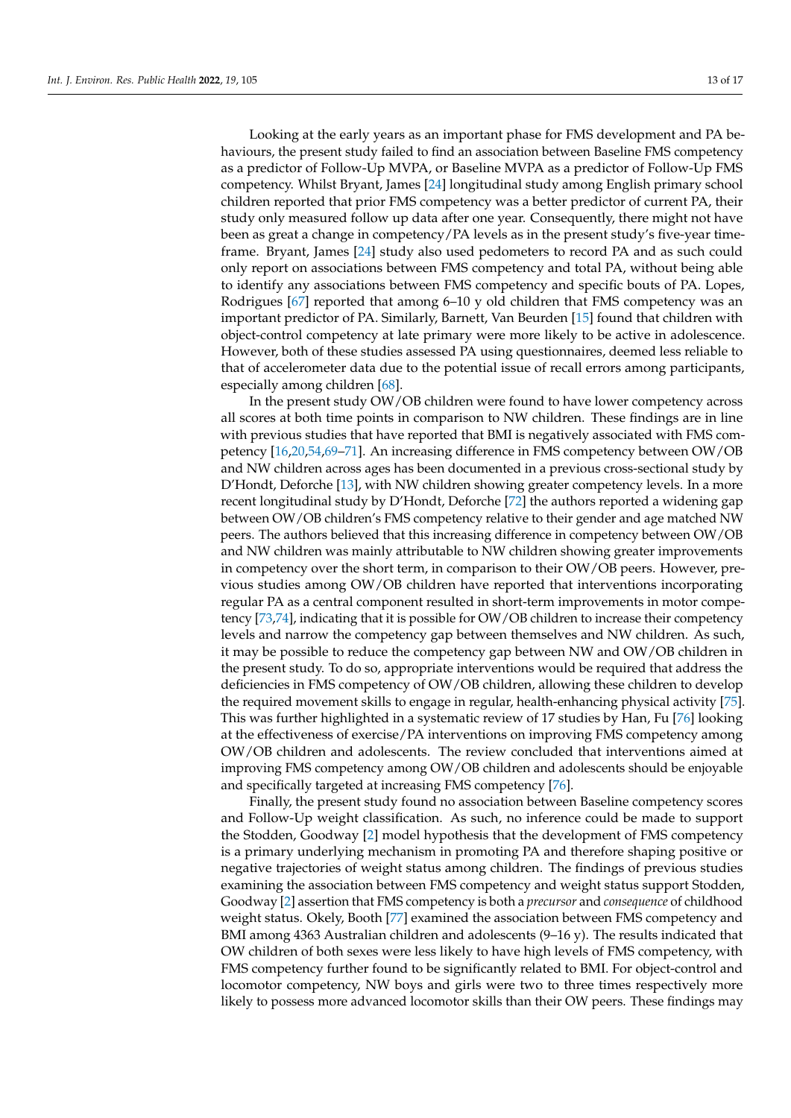Looking at the early years as an important phase for FMS development and PA behaviours, the present study failed to find an association between Baseline FMS competency as a predictor of Follow-Up MVPA, or Baseline MVPA as a predictor of Follow-Up FMS competency. Whilst Bryant, James [\[24\]](#page-14-19) longitudinal study among English primary school children reported that prior FMS competency was a better predictor of current PA, their study only measured follow up data after one year. Consequently, there might not have been as great a change in competency/PA levels as in the present study's five-year timeframe. Bryant, James [\[24\]](#page-14-19) study also used pedometers to record PA and as such could only report on associations between FMS competency and total PA, without being able to identify any associations between FMS competency and specific bouts of PA. Lopes, Rodrigues [\[67\]](#page-16-13) reported that among 6–10 y old children that FMS competency was an important predictor of PA. Similarly, Barnett, Van Beurden [\[15\]](#page-14-13) found that children with object-control competency at late primary were more likely to be active in adolescence. However, both of these studies assessed PA using questionnaires, deemed less reliable to that of accelerometer data due to the potential issue of recall errors among participants, especially among children [\[68\]](#page-16-14).

In the present study OW/OB children were found to have lower competency across all scores at both time points in comparison to NW children. These findings are in line with previous studies that have reported that BMI is negatively associated with FMS competency [\[16,](#page-14-14)[20](#page-14-20)[,54](#page-16-15)[,69–](#page-16-16)[71\]](#page-16-17). An increasing difference in FMS competency between OW/OB and NW children across ages has been documented in a previous cross-sectional study by D'Hondt, Deforche [\[13\]](#page-14-11), with NW children showing greater competency levels. In a more recent longitudinal study by D'Hondt, Deforche [\[72\]](#page-16-18) the authors reported a widening gap between OW/OB children's FMS competency relative to their gender and age matched NW peers. The authors believed that this increasing difference in competency between OW/OB and NW children was mainly attributable to NW children showing greater improvements in competency over the short term, in comparison to their OW/OB peers. However, previous studies among OW/OB children have reported that interventions incorporating regular PA as a central component resulted in short-term improvements in motor competency [\[73,](#page-16-19)[74\]](#page-16-20), indicating that it is possible for OW/OB children to increase their competency levels and narrow the competency gap between themselves and NW children. As such, it may be possible to reduce the competency gap between NW and OW/OB children in the present study. To do so, appropriate interventions would be required that address the deficiencies in FMS competency of OW/OB children, allowing these children to develop the required movement skills to engage in regular, health-enhancing physical activity [\[75\]](#page-16-21). This was further highlighted in a systematic review of 17 studies by Han, Fu [\[76\]](#page-16-22) looking at the effectiveness of exercise/PA interventions on improving FMS competency among OW/OB children and adolescents. The review concluded that interventions aimed at improving FMS competency among OW/OB children and adolescents should be enjoyable and specifically targeted at increasing FMS competency [\[76\]](#page-16-22).

Finally, the present study found no association between Baseline competency scores and Follow-Up weight classification. As such, no inference could be made to support the Stodden, Goodway [\[2\]](#page-14-9) model hypothesis that the development of FMS competency is a primary underlying mechanism in promoting PA and therefore shaping positive or negative trajectories of weight status among children. The findings of previous studies examining the association between FMS competency and weight status support Stodden, Goodway [\[2\]](#page-14-9) assertion that FMS competency is both a *precursor* and *consequence* of childhood weight status. Okely, Booth [\[77\]](#page-16-23) examined the association between FMS competency and BMI among 4363 Australian children and adolescents (9–16 y). The results indicated that OW children of both sexes were less likely to have high levels of FMS competency, with FMS competency further found to be significantly related to BMI. For object-control and locomotor competency, NW boys and girls were two to three times respectively more likely to possess more advanced locomotor skills than their OW peers. These findings may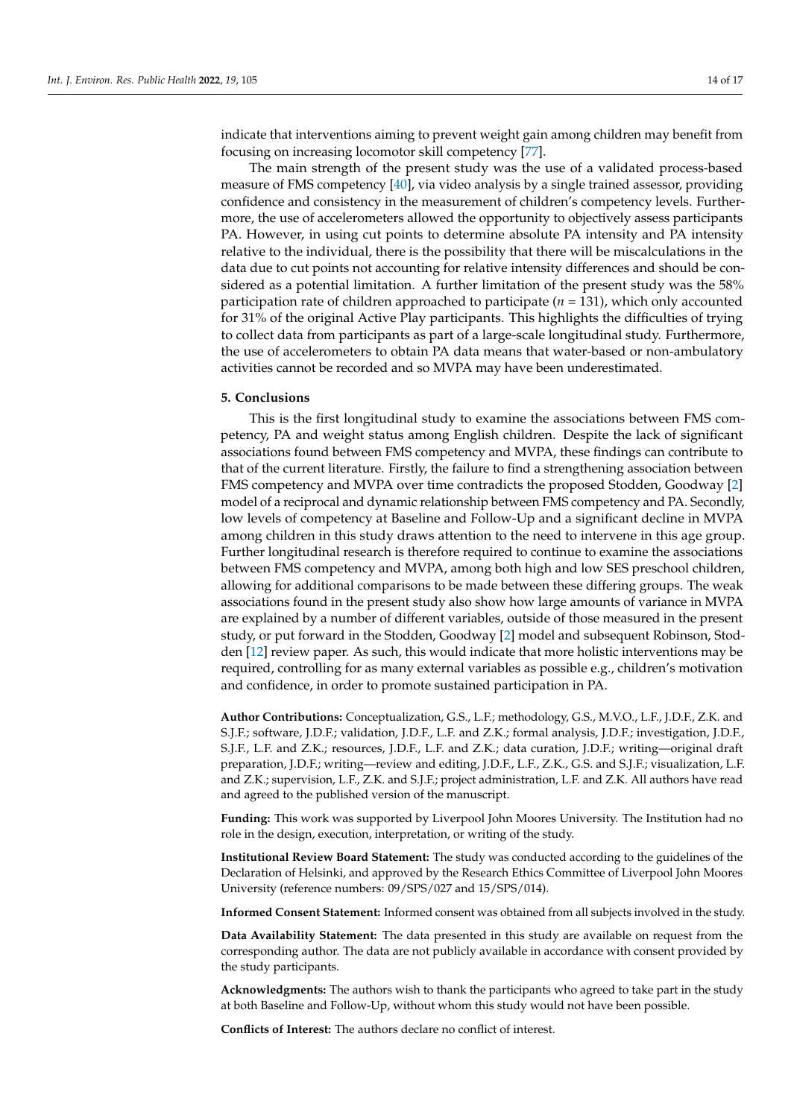indicate that interventions aiming to prevent weight gain among children may benefit from focusing on increasing locomotor skill competency [\[77\]](#page-16-23).

The main strength of the present study was the use of a validated process-based measure of FMS competency [\[40\]](#page-15-12), via video analysis by a single trained assessor, providing confidence and consistency in the measurement of children's competency levels. Furthermore, the use of accelerometers allowed the opportunity to objectively assess participants PA. However, in using cut points to determine absolute PA intensity and PA intensity relative to the individual, there is the possibility that there will be miscalculations in the data due to cut points not accounting for relative intensity differences and should be considered as a potential limitation. A further limitation of the present study was the 58% participation rate of children approached to participate (*n* = 131), which only accounted for 31% of the original Active Play participants. This highlights the difficulties of trying to collect data from participants as part of a large-scale longitudinal study. Furthermore, the use of accelerometers to obtain PA data means that water-based or non-ambulatory activities cannot be recorded and so MVPA may have been underestimated.

### **5. Conclusions**

This is the first longitudinal study to examine the associations between FMS competency, PA and weight status among English children. Despite the lack of significant associations found between FMS competency and MVPA, these findings can contribute to that of the current literature. Firstly, the failure to find a strengthening association between FMS competency and MVPA over time contradicts the proposed Stodden, Goodway [\[2\]](#page-14-9) model of a reciprocal and dynamic relationship between FMS competency and PA. Secondly, low levels of competency at Baseline and Follow-Up and a significant decline in MVPA among children in this study draws attention to the need to intervene in this age group. Further longitudinal research is therefore required to continue to examine the associations between FMS competency and MVPA, among both high and low SES preschool children, allowing for additional comparisons to be made between these differing groups. The weak associations found in the present study also show how large amounts of variance in MVPA are explained by a number of different variables, outside of those measured in the present study, or put forward in the Stodden, Goodway [\[2\]](#page-14-9) model and subsequent Robinson, Stodden [\[12\]](#page-14-10) review paper. As such, this would indicate that more holistic interventions may be required, controlling for as many external variables as possible e.g., children's motivation and confidence, in order to promote sustained participation in PA.

**Author Contributions:** Conceptualization, G.S., L.F.; methodology, G.S., M.V.O., L.F., J.D.F., Z.K. and S.J.F.; software, J.D.F.; validation, J.D.F., L.F. and Z.K.; formal analysis, J.D.F.; investigation, J.D.F., S.J.F., L.F. and Z.K.; resources, J.D.F., L.F. and Z.K.; data curation, J.D.F.; writing—original draft preparation, J.D.F.; writing—review and editing, J.D.F., L.F., Z.K., G.S. and S.J.F.; visualization, L.F. and Z.K.; supervision, L.F., Z.K. and S.J.F.; project administration, L.F. and Z.K. All authors have read and agreed to the published version of the manuscript.

**Funding:** This work was supported by Liverpool John Moores University. The Institution had no role in the design, execution, interpretation, or writing of the study.

**Institutional Review Board Statement:** The study was conducted according to the guidelines of the Declaration of Helsinki, and approved by the Research Ethics Committee of Liverpool John Moores University (reference numbers: 09/SPS/027 and 15/SPS/014).

**Informed Consent Statement:** Informed consent was obtained from all subjects involved in the study.

**Data Availability Statement:** The data presented in this study are available on request from the corresponding author. The data are not publicly available in accordance with consent provided by the study participants.

**Acknowledgments:** The authors wish to thank the participants who agreed to take part in the study at both Baseline and Follow-Up, without whom this study would not have been possible.

**Conflicts of Interest:** The authors declare no conflict of interest.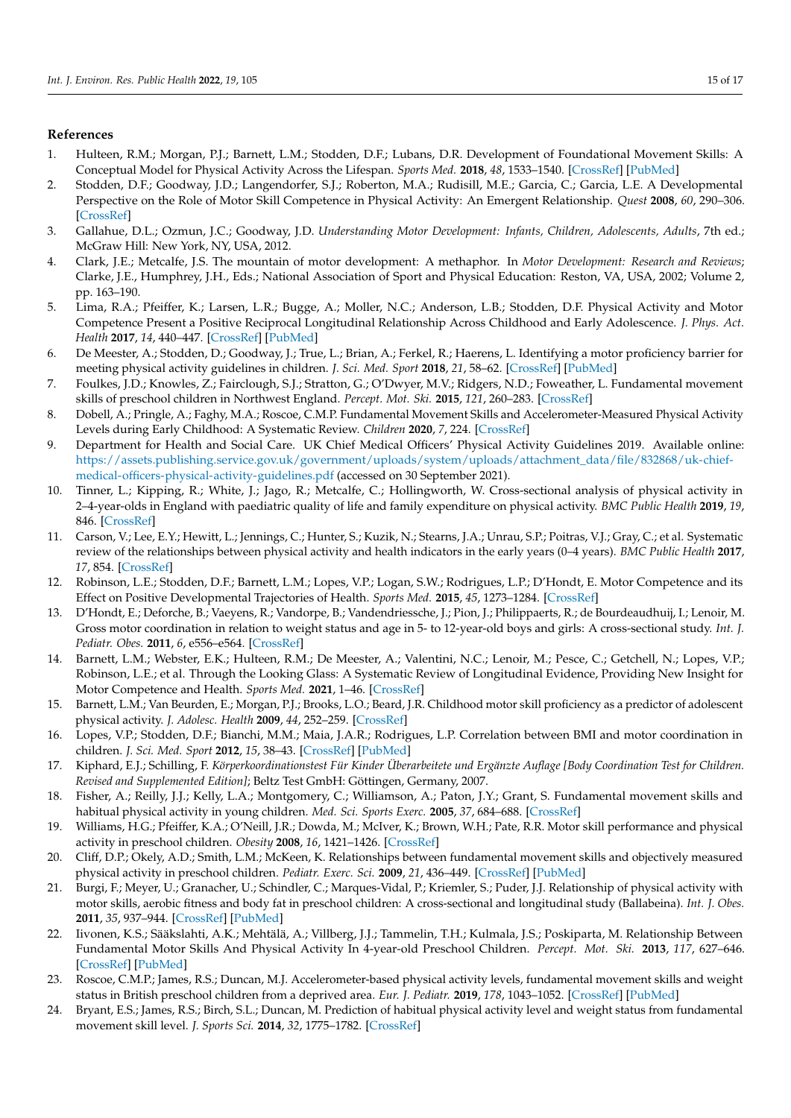## **References**

- <span id="page-14-0"></span>1. Hulteen, R.M.; Morgan, P.J.; Barnett, L.M.; Stodden, D.F.; Lubans, D.R. Development of Foundational Movement Skills: A Conceptual Model for Physical Activity Across the Lifespan. *Sports Med.* **2018**, *48*, 1533–1540. [\[CrossRef\]](http://doi.org/10.1007/s40279-018-0892-6) [\[PubMed\]](http://www.ncbi.nlm.nih.gov/pubmed/29524160)
- <span id="page-14-9"></span>2. Stodden, D.F.; Goodway, J.D.; Langendorfer, S.J.; Roberton, M.A.; Rudisill, M.E.; Garcia, C.; Garcia, L.E. A Developmental Perspective on the Role of Motor Skill Competence in Physical Activity: An Emergent Relationship. *Quest* **2008**, *60*, 290–306. [\[CrossRef\]](http://doi.org/10.1080/00336297.2008.10483582)
- <span id="page-14-1"></span>3. Gallahue, D.L.; Ozmun, J.C.; Goodway, J.D. *Understanding Motor Development: Infants, Children, Adolescents, Adults, 7th ed.*; McGraw Hill: New York, NY, USA, 2012.
- <span id="page-14-2"></span>4. Clark, J.E.; Metcalfe, J.S. The mountain of motor development: A methaphor. In *Motor Development: Research and Reviews*; Clarke, J.E., Humphrey, J.H., Eds.; National Association of Sport and Physical Education: Reston, VA, USA, 2002; Volume 2, pp. 163–190.
- 5. Lima, R.A.; Pfeiffer, K.; Larsen, L.R.; Bugge, A.; Moller, N.C.; Anderson, L.B.; Stodden, D.F. Physical Activity and Motor Competence Present a Positive Reciprocal Longitudinal Relationship Across Childhood and Early Adolescence. *J. Phys. Act. Health* **2017**, *14*, 440–447. [\[CrossRef\]](http://doi.org/10.1123/jpah.2016-0473) [\[PubMed\]](http://www.ncbi.nlm.nih.gov/pubmed/28169569)
- <span id="page-14-3"></span>6. De Meester, A.; Stodden, D.; Goodway, J.; True, L.; Brian, A.; Ferkel, R.; Haerens, L. Identifying a motor proficiency barrier for meeting physical activity guidelines in children. *J. Sci. Med. Sport* **2018**, *21*, 58–62. [\[CrossRef\]](http://doi.org/10.1016/j.jsams.2017.05.007) [\[PubMed\]](http://www.ncbi.nlm.nih.gov/pubmed/28595871)
- <span id="page-14-4"></span>7. Foulkes, J.D.; Knowles, Z.; Fairclough, S.J.; Stratton, G.; O'Dwyer, M.V.; Ridgers, N.D.; Foweather, L. Fundamental movement skills of preschool children in Northwest England. *Percept. Mot. Ski.* **2015**, *121*, 260–283. [\[CrossRef\]](http://doi.org/10.2466/10.25.PMS.121c14x0)
- <span id="page-14-5"></span>8. Dobell, A.; Pringle, A.; Faghy, M.A.; Roscoe, C.M.P. Fundamental Movement Skills and Accelerometer-Measured Physical Activity Levels during Early Childhood: A Systematic Review. *Children* **2020**, *7*, 224. [\[CrossRef\]](http://doi.org/10.3390/children7110224)
- <span id="page-14-6"></span>9. Department for Health and Social Care. UK Chief Medical Officers' Physical Activity Guidelines 2019. Available online: [https://assets.publishing.service.gov.uk/government/uploads/system/uploads/attachment\\_data/file/832868/uk-chief](https://assets.publishing.service.gov.uk/government/uploads/system/uploads/attachment_data/file/832868/uk-chief-medical-officers-physical-activity-guidelines.pdf)[medical-officers-physical-activity-guidelines.pdf](https://assets.publishing.service.gov.uk/government/uploads/system/uploads/attachment_data/file/832868/uk-chief-medical-officers-physical-activity-guidelines.pdf) (accessed on 30 September 2021).
- <span id="page-14-7"></span>10. Tinner, L.; Kipping, R.; White, J.; Jago, R.; Metcalfe, C.; Hollingworth, W. Cross-sectional analysis of physical activity in 2–4-year-olds in England with paediatric quality of life and family expenditure on physical activity. *BMC Public Health* **2019**, *19*, 846. [\[CrossRef\]](http://doi.org/10.1186/s12889-019-7129-y)
- <span id="page-14-8"></span>11. Carson, V.; Lee, E.Y.; Hewitt, L.; Jennings, C.; Hunter, S.; Kuzik, N.; Stearns, J.A.; Unrau, S.P.; Poitras, V.J.; Gray, C.; et al. Systematic review of the relationships between physical activity and health indicators in the early years (0–4 years). *BMC Public Health* **2017**, *17*, 854. [\[CrossRef\]](http://doi.org/10.1186/s12889-017-4860-0)
- <span id="page-14-10"></span>12. Robinson, L.E.; Stodden, D.F.; Barnett, L.M.; Lopes, V.P.; Logan, S.W.; Rodrigues, L.P.; D'Hondt, E. Motor Competence and its Effect on Positive Developmental Trajectories of Health. *Sports Med.* **2015**, *45*, 1273–1284. [\[CrossRef\]](http://doi.org/10.1007/s40279-015-0351-6)
- <span id="page-14-11"></span>13. D'Hondt, E.; Deforche, B.; Vaeyens, R.; Vandorpe, B.; Vandendriessche, J.; Pion, J.; Philippaerts, R.; de Bourdeaudhuij, I.; Lenoir, M. Gross motor coordination in relation to weight status and age in 5- to 12-year-old boys and girls: A cross-sectional study. *Int. J. Pediatr. Obes.* **2011**, *6*, e556–e564. [\[CrossRef\]](http://doi.org/10.3109/17477166.2010.500388)
- <span id="page-14-12"></span>14. Barnett, L.M.; Webster, E.K.; Hulteen, R.M.; De Meester, A.; Valentini, N.C.; Lenoir, M.; Pesce, C.; Getchell, N.; Lopes, V.P.; Robinson, L.E.; et al. Through the Looking Glass: A Systematic Review of Longitudinal Evidence, Providing New Insight for Motor Competence and Health. *Sports Med.* **2021**, 1–46. [\[CrossRef\]](http://doi.org/10.1007/s40279-021-01516-8)
- <span id="page-14-13"></span>15. Barnett, L.M.; Van Beurden, E.; Morgan, P.J.; Brooks, L.O.; Beard, J.R. Childhood motor skill proficiency as a predictor of adolescent physical activity. *J. Adolesc. Health* **2009**, *44*, 252–259. [\[CrossRef\]](http://doi.org/10.1016/j.jadohealth.2008.07.004)
- <span id="page-14-14"></span>16. Lopes, V.P.; Stodden, D.F.; Bianchi, M.M.; Maia, J.A.R.; Rodrigues, L.P. Correlation between BMI and motor coordination in children. *J. Sci. Med. Sport* **2012**, *15*, 38–43. [\[CrossRef\]](http://doi.org/10.1016/j.jsams.2011.07.005) [\[PubMed\]](http://www.ncbi.nlm.nih.gov/pubmed/21831708)
- <span id="page-14-15"></span>17. Kiphard, E.J.; Schilling, F. *Körperkoordinationstest Für Kinder Überarbeitete und Ergänzte Auflage [Body Coordination Test for Children. Revised and Supplemented Edition]*; Beltz Test GmbH: Göttingen, Germany, 2007.
- <span id="page-14-16"></span>18. Fisher, A.; Reilly, J.J.; Kelly, L.A.; Montgomery, C.; Williamson, A.; Paton, J.Y.; Grant, S. Fundamental movement skills and habitual physical activity in young children. *Med. Sci. Sports Exerc.* **2005**, *37*, 684–688. [\[CrossRef\]](http://doi.org/10.1249/01.MSS.0000159138.48107.7D)
- 19. Williams, H.G.; Pfeiffer, K.A.; O'Neill, J.R.; Dowda, M.; McIver, K.; Brown, W.H.; Pate, R.R. Motor skill performance and physical activity in preschool children. *Obesity* **2008**, *16*, 1421–1426. [\[CrossRef\]](http://doi.org/10.1038/oby.2008.214)
- <span id="page-14-20"></span>20. Cliff, D.P.; Okely, A.D.; Smith, L.M.; McKeen, K. Relationships between fundamental movement skills and objectively measured physical activity in preschool children. *Pediatr. Exerc. Sci.* **2009**, *21*, 436–449. [\[CrossRef\]](http://doi.org/10.1123/pes.21.4.436) [\[PubMed\]](http://www.ncbi.nlm.nih.gov/pubmed/20128363)
- 21. Burgi, F.; Meyer, U.; Granacher, U.; Schindler, C.; Marques-Vidal, P.; Kriemler, S.; Puder, J.J. Relationship of physical activity with motor skills, aerobic fitness and body fat in preschool children: A cross-sectional and longitudinal study (Ballabeina). *Int. J. Obes.* **2011**, *35*, 937–944. [\[CrossRef\]](http://doi.org/10.1038/ijo.2011.54) [\[PubMed\]](http://www.ncbi.nlm.nih.gov/pubmed/21448128)
- <span id="page-14-17"></span>22. Iivonen, K.S.; Sääkslahti, A.K.; Mehtälä, A.; Villberg, J.J.; Tammelin, T.H.; Kulmala, J.S.; Poskiparta, M. Relationship Between Fundamental Motor Skills And Physical Activity In 4-year-old Preschool Children. *Percept. Mot. Ski.* **2013**, *117*, 627–646. [\[CrossRef\]](http://doi.org/10.2466/10.06.PMS.117x22z7) [\[PubMed\]](http://www.ncbi.nlm.nih.gov/pubmed/24611263)
- <span id="page-14-18"></span>23. Roscoe, C.M.P.; James, R.S.; Duncan, M.J. Accelerometer-based physical activity levels, fundamental movement skills and weight status in British preschool children from a deprived area. *Eur. J. Pediatr.* **2019**, *178*, 1043–1052. [\[CrossRef\]](http://doi.org/10.1007/s00431-019-03390-z) [\[PubMed\]](http://www.ncbi.nlm.nih.gov/pubmed/31065843)
- <span id="page-14-19"></span>24. Bryant, E.S.; James, R.S.; Birch, S.L.; Duncan, M. Prediction of habitual physical activity level and weight status from fundamental movement skill level. *J. Sports Sci.* **2014**, *32*, 1775–1782. [\[CrossRef\]](http://doi.org/10.1080/02640414.2014.918644)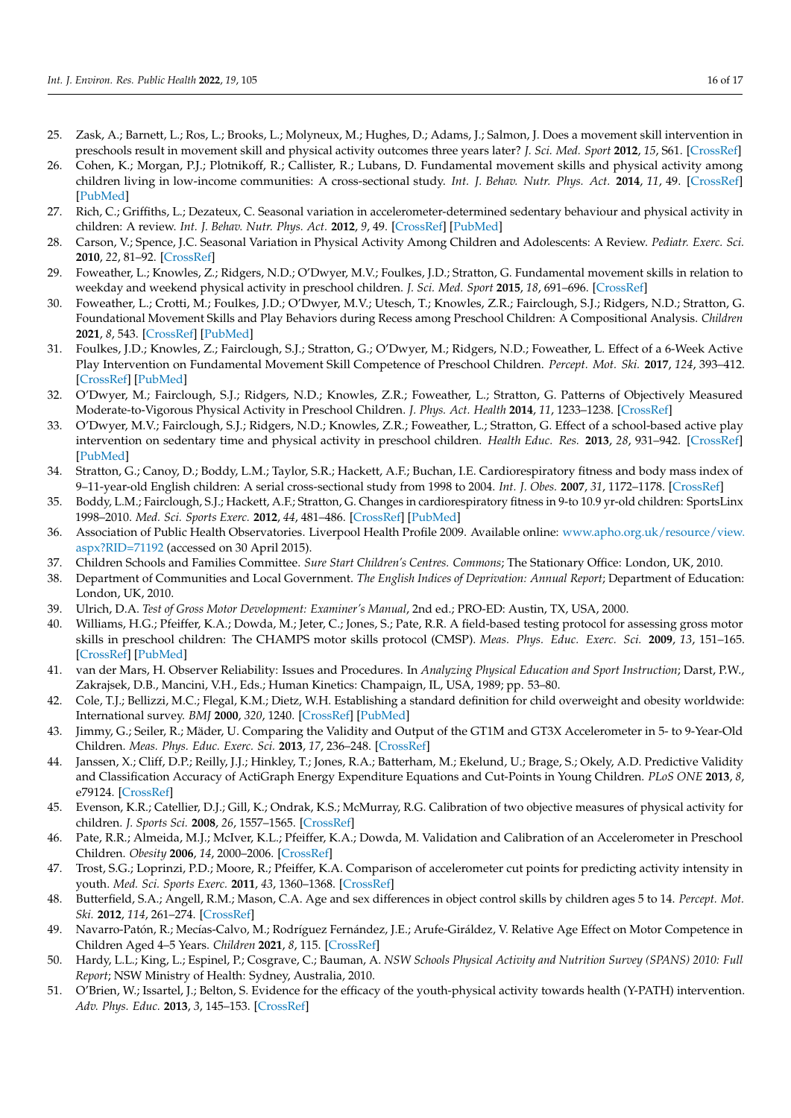- <span id="page-15-0"></span>25. Zask, A.; Barnett, L.; Ros, L.; Brooks, L.; Molyneux, M.; Hughes, D.; Adams, J.; Salmon, J. Does a movement skill intervention in preschools result in movement skill and physical activity outcomes three years later? *J. Sci. Med. Sport* **2012**, *15*, S61. [\[CrossRef\]](http://doi.org/10.1016/j.jsams.2012.11.148)
- <span id="page-15-1"></span>26. Cohen, K.; Morgan, P.J.; Plotnikoff, R.; Callister, R.; Lubans, D. Fundamental movement skills and physical activity among children living in low-income communities: A cross-sectional study. *Int. J. Behav. Nutr. Phys. Act.* **2014**, *11*, 49. [\[CrossRef\]](http://doi.org/10.1186/1479-5868-11-49) [\[PubMed\]](http://www.ncbi.nlm.nih.gov/pubmed/24708604)
- <span id="page-15-2"></span>27. Rich, C.; Griffiths, L.; Dezateux, C. Seasonal variation in accelerometer-determined sedentary behaviour and physical activity in children: A review. *Int. J. Behav. Nutr. Phys. Act.* **2012**, *9*, 49. [\[CrossRef\]](http://doi.org/10.1186/1479-5868-9-49) [\[PubMed\]](http://www.ncbi.nlm.nih.gov/pubmed/22546178)
- <span id="page-15-3"></span>28. Carson, V.; Spence, J.C. Seasonal Variation in Physical Activity Among Children and Adolescents: A Review. *Pediatr. Exerc. Sci.* **2010**, *22*, 81–92. [\[CrossRef\]](http://doi.org/10.1123/pes.22.1.81)
- <span id="page-15-4"></span>29. Foweather, L.; Knowles, Z.; Ridgers, N.D.; O'Dwyer, M.V.; Foulkes, J.D.; Stratton, G. Fundamental movement skills in relation to weekday and weekend physical activity in preschool children. *J. Sci. Med. Sport* **2015**, *18*, 691–696. [\[CrossRef\]](http://doi.org/10.1016/j.jsams.2014.09.014)
- 30. Foweather, L.; Crotti, M.; Foulkes, J.D.; O'Dwyer, M.V.; Utesch, T.; Knowles, Z.R.; Fairclough, S.J.; Ridgers, N.D.; Stratton, G. Foundational Movement Skills and Play Behaviors during Recess among Preschool Children: A Compositional Analysis. *Children* **2021**, *8*, 543. [\[CrossRef\]](http://doi.org/10.3390/children8070543) [\[PubMed\]](http://www.ncbi.nlm.nih.gov/pubmed/34202803)
- 31. Foulkes, J.D.; Knowles, Z.; Fairclough, S.J.; Stratton, G.; O'Dwyer, M.; Ridgers, N.D.; Foweather, L. Effect of a 6-Week Active Play Intervention on Fundamental Movement Skill Competence of Preschool Children. *Percept. Mot. Ski.* **2017**, *124*, 393–412. [\[CrossRef\]](http://doi.org/10.1177/0031512516685200) [\[PubMed\]](http://www.ncbi.nlm.nih.gov/pubmed/28361654)
- <span id="page-15-24"></span>32. O'Dwyer, M.; Fairclough, S.J.; Ridgers, N.D.; Knowles, Z.R.; Foweather, L.; Stratton, G. Patterns of Objectively Measured Moderate-to-Vigorous Physical Activity in Preschool Children. *J. Phys. Act. Health* **2014**, *11*, 1233–1238. [\[CrossRef\]](http://doi.org/10.1123/jpah.2012-0163)
- <span id="page-15-5"></span>33. O'Dwyer, M.V.; Fairclough, S.J.; Ridgers, N.D.; Knowles, Z.R.; Foweather, L.; Stratton, G. Effect of a school-based active play intervention on sedentary time and physical activity in preschool children. *Health Educ. Res.* **2013**, *28*, 931–942. [\[CrossRef\]](http://doi.org/10.1093/her/cyt097) [\[PubMed\]](http://www.ncbi.nlm.nih.gov/pubmed/24107857)
- <span id="page-15-6"></span>34. Stratton, G.; Canoy, D.; Boddy, L.M.; Taylor, S.R.; Hackett, A.F.; Buchan, I.E. Cardiorespiratory fitness and body mass index of 9–11-year-old English children: A serial cross-sectional study from 1998 to 2004. *Int. J. Obes.* **2007**, *31*, 1172–1178. [\[CrossRef\]](http://doi.org/10.1038/sj.ijo.0803562)
- <span id="page-15-7"></span>35. Boddy, L.M.; Fairclough, S.J.; Hackett, A.F.; Stratton, G. Changes in cardiorespiratory fitness in 9-to 10.9 yr-old children: SportsLinx 1998–2010. *Med. Sci. Sports Exerc.* **2012**, *44*, 481–486. [\[CrossRef\]](http://doi.org/10.1249/MSS.0b013e3182300267) [\[PubMed\]](http://www.ncbi.nlm.nih.gov/pubmed/21814150)
- <span id="page-15-8"></span>36. Association of Public Health Observatories. Liverpool Health Profile 2009. Available online: [www.apho.org.uk/resource/view.](www.apho.org.uk/resource/view.aspx?RID=71192) [aspx?RID=71192](www.apho.org.uk/resource/view.aspx?RID=71192) (accessed on 30 April 2015).
- <span id="page-15-9"></span>37. Children Schools and Families Committee. *Sure Start Children's Centres. Commons*; The Stationary Office: London, UK, 2010.
- <span id="page-15-10"></span>38. Department of Communities and Local Government. *The English Indices of Deprivation: Annual Report*; Department of Education: London, UK, 2010.
- <span id="page-15-11"></span>39. Ulrich, D.A. *Test of Gross Motor Development: Examiner's Manual*, 2nd ed.; PRO-ED: Austin, TX, USA, 2000.
- <span id="page-15-12"></span>40. Williams, H.G.; Pfeiffer, K.A.; Dowda, M.; Jeter, C.; Jones, S.; Pate, R.R. A field-based testing protocol for assessing gross motor skills in preschool children: The CHAMPS motor skills protocol (CMSP). *Meas. Phys. Educ. Exerc. Sci.* **2009**, *13*, 151–165. [\[CrossRef\]](http://doi.org/10.1080/10913670903048036) [\[PubMed\]](http://www.ncbi.nlm.nih.gov/pubmed/21532999)
- <span id="page-15-13"></span>41. van der Mars, H. Observer Reliability: Issues and Procedures. In *Analyzing Physical Education and Sport Instruction*; Darst, P.W., Zakrajsek, D.B., Mancini, V.H., Eds.; Human Kinetics: Champaign, IL, USA, 1989; pp. 53–80.
- <span id="page-15-14"></span>42. Cole, T.J.; Bellizzi, M.C.; Flegal, K.M.; Dietz, W.H. Establishing a standard definition for child overweight and obesity worldwide: International survey. *BMJ* **2000**, *320*, 1240. [\[CrossRef\]](http://doi.org/10.1136/bmj.320.7244.1240) [\[PubMed\]](http://www.ncbi.nlm.nih.gov/pubmed/10797032)
- <span id="page-15-15"></span>43. Jimmy, G.; Seiler, R.; Mäder, U. Comparing the Validity and Output of the GT1M and GT3X Accelerometer in 5- to 9-Year-Old Children. *Meas. Phys. Educ. Exerc. Sci.* **2013**, *17*, 236–248. [\[CrossRef\]](http://doi.org/10.1080/1091367X.2013.805140)
- <span id="page-15-16"></span>44. Janssen, X.; Cliff, D.P.; Reilly, J.J.; Hinkley, T.; Jones, R.A.; Batterham, M.; Ekelund, U.; Brage, S.; Okely, A.D. Predictive Validity and Classification Accuracy of ActiGraph Energy Expenditure Equations and Cut-Points in Young Children. *PLoS ONE* **2013**, *8*, e79124. [\[CrossRef\]](http://doi.org/10.1371/journal.pone.0079124)
- <span id="page-15-17"></span>45. Evenson, K.R.; Catellier, D.J.; Gill, K.; Ondrak, K.S.; McMurray, R.G. Calibration of two objective measures of physical activity for children. *J. Sports Sci.* **2008**, *26*, 1557–1565. [\[CrossRef\]](http://doi.org/10.1080/02640410802334196)
- <span id="page-15-18"></span>46. Pate, R.R.; Almeida, M.J.; McIver, K.L.; Pfeiffer, K.A.; Dowda, M. Validation and Calibration of an Accelerometer in Preschool Children. *Obesity* **2006**, *14*, 2000–2006. [\[CrossRef\]](http://doi.org/10.1038/oby.2006.234)
- <span id="page-15-19"></span>47. Trost, S.G.; Loprinzi, P.D.; Moore, R.; Pfeiffer, K.A. Comparison of accelerometer cut points for predicting activity intensity in youth. *Med. Sci. Sports Exerc.* **2011**, *43*, 1360–1368. [\[CrossRef\]](http://doi.org/10.1249/MSS.0b013e318206476e)
- <span id="page-15-20"></span>48. Butterfield, S.A.; Angell, R.M.; Mason, C.A. Age and sex differences in object control skills by children ages 5 to 14. *Percept. Mot. Ski.* **2012**, *114*, 261–274. [\[CrossRef\]](http://doi.org/10.2466/10.11.25.PMS.114.1.261-274)
- <span id="page-15-21"></span>49. Navarro-Patón, R.; Mecías-Calvo, M.; Rodríguez Fernández, J.E.; Arufe-Giráldez, V. Relative Age Effect on Motor Competence in Children Aged 4–5 Years. *Children* **2021**, *8*, 115. [\[CrossRef\]](http://doi.org/10.3390/children8020115)
- <span id="page-15-22"></span>50. Hardy, L.L.; King, L.; Espinel, P.; Cosgrave, C.; Bauman, A. *NSW Schools Physical Activity and Nutrition Survey (SPANS) 2010: Full Report*; NSW Ministry of Health: Sydney, Australia, 2010.
- <span id="page-15-23"></span>51. O'Brien, W.; Issartel, J.; Belton, S. Evidence for the efficacy of the youth-physical activity towards health (Y-PATH) intervention. *Adv. Phys. Educ.* **2013**, *3*, 145–153. [\[CrossRef\]](http://doi.org/10.4236/ape.2013.34024)